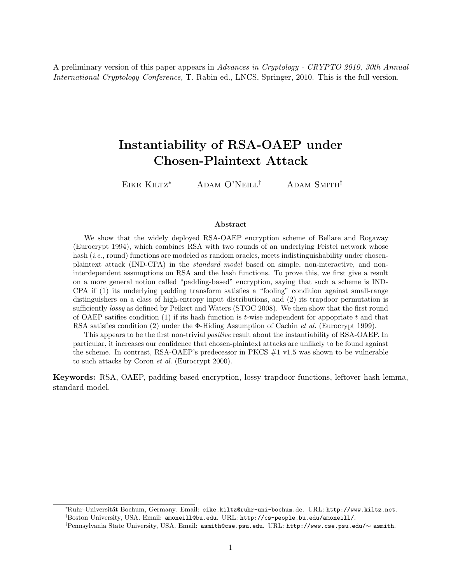A preliminary version of this paper appears in *Advances in Cryptology - CRYPTO 2010, 30th Annual International Cryptology Conference,* T. Rabin ed., LNCS, Springer, 2010. This is the full version.

# Instantiability of RSA-OAEP under Chosen-Plaintext Attack

EIKE KILTZ<sup>\*</sup> ADAM O'NEILL<sup>†</sup> ADAM SMITH<sup>‡</sup>

#### Abstract

We show that the widely deployed RSA-OAEP encryption scheme of Bellare and Rogaway (Eurocrypt 1994), which combines RSA with two rounds of an underlying Feistel network whose hash (*i.e.*, round) functions are modeled as random oracles, meets indistinguishability under chosenplaintext attack (IND-CPA) in the *standard model* based on simple, non-interactive, and noninterdependent assumptions on RSA and the hash functions. To prove this, we first give a result on a more general notion called "padding-based" encryption, saying that such a scheme is IND-CPA if (1) its underlying padding transform satisfies a "fooling" condition against small-range distinguishers on a class of high-entropy input distributions, and (2) its trapdoor permutation is sufficiently *lossy* as defined by Peikert and Waters (STOC 2008). We then show that the first round of OAEP satifies condition (1) if its hash function is t-wise independent for appopriate t and that RSA satisfies condition (2) under the Φ-Hiding Assumption of Cachin *et al.* (Eurocrypt 1999).

This appears to be the first non-trivial *positive* result about the instantiability of RSA-OAEP. In particular, it increases our confidence that chosen-plaintext attacks are unlikely to be found against the scheme. In contrast, RSA-OAEP's predecessor in PKCS  $#1$  v1.5 was shown to be vulnerable to such attacks by Coron *et al*. (Eurocrypt 2000).

Keywords: RSA, OAEP, padding-based encryption, lossy trapdoor functions, leftover hash lemma, standard model.

<sup>∗</sup>Ruhr-Universit¨at Bochum, Germany. Email: eike.kiltz@ruhr-uni-bochum.de. URL: http://www.kiltz.net. †Boston University, USA. Email: amoneill@bu.edu. URL: http://cs-people.bu.edu/amoneill/. ‡Pennsylvania State University, USA. Email: asmith@cse.psu.edu. URL: http://www.cse.psu.edu/∼ asmith.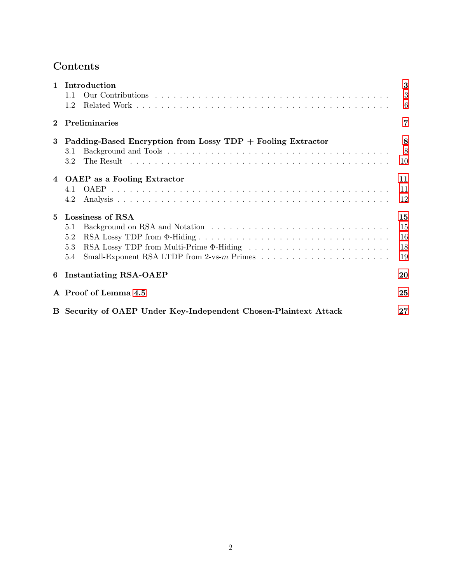# Contents

| $\mathbf{1}$    | Introduction                                                                                         | 3                          |  |
|-----------------|------------------------------------------------------------------------------------------------------|----------------------------|--|
|                 | 1.1<br>1.2                                                                                           | 3<br>6                     |  |
| $\mathbf{2}$    | Preliminaries                                                                                        |                            |  |
| $3\phantom{.0}$ | Padding-Based Encryption from Lossy TDP + Fooling Extractor<br>3.1<br>3.2                            | 8<br>8<br>10               |  |
|                 | 4 OAEP as a Fooling Extractor<br>4.1<br>4.2                                                          | 11<br>11<br>12             |  |
| $\mathbf{5}$    | <b>Lossiness of RSA</b><br>5.1<br>5.2<br>RSA Lossy TDP from Multi-Prime $\Phi$ -Hiding<br>5.3<br>5.4 | 15<br>15<br>16<br>18<br>19 |  |
| 6               | <b>Instantiating RSA-OAEP</b>                                                                        | 20                         |  |
|                 | A Proof of Lemma 4.5                                                                                 |                            |  |
|                 | B Security of OAEP Under Key-Independent Chosen-Plaintext Attack                                     | 27                         |  |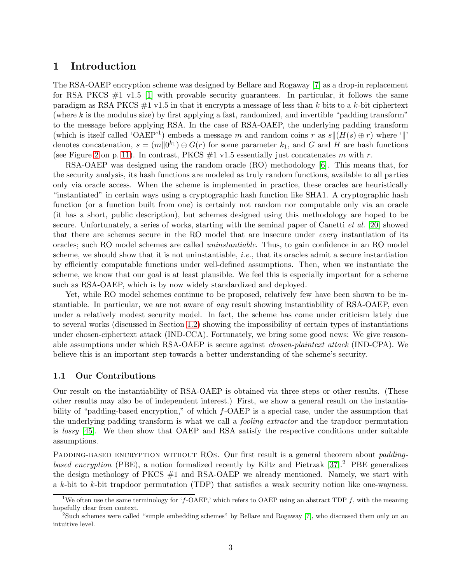### <span id="page-2-2"></span><span id="page-2-0"></span>1 Introduction

The RSA-OAEP encryption scheme was designed by Bellare and Rogaway [\[7\]](#page-21-0) as a drop-in replacement for RSA PKCS  $\#1$  v1.5 [\[1\]](#page-20-0) with provable security guarantees. In particular, it follows the same paradigm as RSA PKCS  $\#1$  v1.5 in that it encrypts a message of less than k bits to a k-bit ciphertext (where k is the modulus size) by first applying a fast, randomized, and invertible "padding transform" to the message before applying RSA. In the case of RSA-OAEP, the underlying padding transform (which is itself called 'OAEP'<sup>1</sup>) embeds a message m and random coins r as  $s||(H(s) \oplus r)$  where '||' denotes concatenation,  $s = (m||0^{k_1}) \oplus G(r)$  for some parameter  $k_1$ , and G and H are hash functions (see Figure [2](#page-10-2) on p. [11\)](#page-10-2). In contrast, PKCS  $\#1$  v1.5 essentially just concatenates m with r.

RSA-OAEP was designed using the random oracle (RO) methodology [\[6\]](#page-20-1). This means that, for the security analysis, its hash functions are modeled as truly random functions, available to all parties only via oracle access. When the scheme is implemented in practice, these oracles are heuristically "instantiated" in certain ways using a cryptographic hash function like SHA1. A cryptographic hash function (or a function built from one) is certainly not random nor computable only via an oracle (it has a short, public description), but schemes designed using this methodology are hoped to be secure. Unfortunately, a series of works, starting with the seminal paper of Canetti *et al.* [\[20\]](#page-22-0) showed that there are schemes secure in the RO model that are insecure under *every* instantiation of its oracles; such RO model schemes are called *uninstantiable*. Thus, to gain confidence in an RO model scheme, we should show that it is not uninstantiable, *i.e.*, that its oracles admit a secure instantiation by efficiently computable functions under well-defined assumptions. Then, when we instantiate the scheme, we know that our goal is at least plausible. We feel this is especially important for a scheme such as RSA-OAEP, which is by now widely standardized and deployed.

Yet, while RO model schemes continue to be proposed, relatively few have been shown to be instantiable. In particular, we are not aware of *any* result showing instantiability of RSA-OAEP, even under a relatively modest security model. In fact, the scheme has come under criticism lately due to several works (discussed in Section [1.2\)](#page-5-0) showing the impossibility of certain types of instantiations under chosen-ciphertext attack (IND-CCA). Fortunately, we bring some good news: We give reasonable assumptions under which RSA-OAEP is secure against *chosen-plaintext attack* (IND-CPA). We believe this is an important step towards a better understanding of the scheme's security.

#### <span id="page-2-1"></span>1.1 Our Contributions

Our result on the instantiability of RSA-OAEP is obtained via three steps or other results. (These other results may also be of independent interest.) First, we show a general result on the instantiability of "padding-based encryption," of which  $f$ -OAEP is a special case, under the assumption that the underlying padding transform is what we call a *fooling extractor* and the trapdoor permutation is *lossy* [\[45\]](#page-23-0). We then show that OAEP and RSA satisfy the respective conditions under suitable assumptions.

PADDING-BASED ENCRYPTION WITHOUT ROS. Our first result is a general theorem about *paddingbased encryption* (PBE), a notion formalized recently by Kiltz and Pietrzak [\[37\]](#page-23-1)<sup>2</sup>. PBE generalizes the design methology of PKCS  $#1$  and RSA-OAEP we already mentioned. Namely, we start with a k-bit to k-bit trapdoor permutation (TDP) that satisfies a weak security notion like one-wayness.

<sup>&</sup>lt;sup>1</sup>We often use the same terminology for 'f-OAEP,' which refers to OAEP using an abstract TDP f, with the meaning hopefully clear from context.

<sup>&</sup>lt;sup>2</sup>Such schemes were called "simple embedding schemes" by Bellare and Rogaway [\[7\]](#page-21-0), who discussed them only on an intuitive level.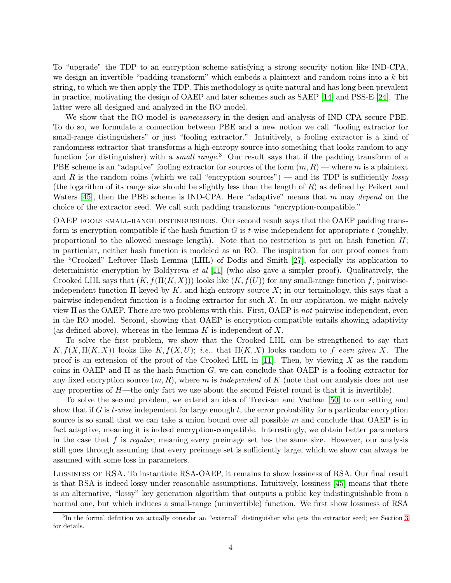<span id="page-3-0"></span>To "upgrade" the TDP to an encryption scheme satisfying a strong security notion like IND-CPA, we design an invertible "padding transform" which embeds a plaintext and random coins into a k-bit string, to which we then apply the TDP. This methodology is quite natural and has long been prevalent in practice, motivating the design of OAEP and later schemes such as SAEP [\[14\]](#page-21-1) and PSS-E [\[24\]](#page-22-1). The latter were all designed and analyzed in the RO model.

We show that the RO model is *unnecessary* in the design and analysis of IND-CPA secure PBE. To do so, we formulate a connection between PBE and a new notion we call "fooling extractor for small-range distinguishers" or just "fooling extractor." Intuitively, a fooling extractor is a kind of randomness extractor that transforms a high-entropy source into something that looks random to any function (or distinguisher) with a *small range*. <sup>3</sup> Our result says that if the padding transform of a PBE scheme is an "adaptive" fooling extractor for sources of the form  $(m, R)$  — where m is a plaintext and R is the random coins (which we call "encryption sources") — and its TDP is sufficiently  $lossy$ (the logarithm of its range size should be slightly less than the length of  $R$ ) as defined by Peikert and Waters [\[45\]](#page-23-0), then the PBE scheme is IND-CPA. Here "adaptive" means that m may *depend* on the choice of the extractor seed. We call such padding transforms "encryption-compatible."

OAEP fools small-range distinguishers. Our second result says that the OAEP padding transform is encryption-compatible if the hash function  $G$  is t-wise independent for appropriate t (roughly, proportional to the allowed message length). Note that no restriction is put on hash function  $H$ ; in particular, neither hash function is modeled as an RO. The inspiration for our proof comes from the "Crooked" Leftover Hash Lemma (LHL) of Dodis and Smith [\[27\]](#page-22-2), especially its application to deterministic encryption by Boldyreva *et al* [\[11\]](#page-21-2) (who also gave a simpler proof). Qualitatively, the Crooked LHL says that  $(K, f(\Pi(K, X)))$  looks like  $(K, f(U))$  for any small-range function f, pairwiseindependent function  $\Pi$  keyed by K, and high-entropy source X; in our terminology, this says that a pairwise-independent function is a fooling extractor for such X. In our application, we might naïvely view Π as the OAEP. There are two problems with this. First, OAEP is *not* pairwise independent, even in the RO model. Second, showing that OAEP is encryption-compatible entails showing adaptivity (as defined above), whereas in the lemma  $K$  is independent of  $X$ .

To solve the first problem, we show that the Crooked LHL can be strengthened to say that K,  $f(X, \Pi(K, X))$  looks like K,  $f(X, U)$ ; *i.e.*, that  $\Pi(K, X)$  looks random to f *even given* X. The proof is an extension of the proof of the Crooked LHL in [\[11\]](#page-21-2). Then, by viewing  $X$  as the random coins in OAEP and  $\Pi$  as the hash function  $G$ , we can conclude that OAEP is a fooling extractor for any fixed encryption source  $(m, R)$ , where m is *independent* of K (note that our analysis does not use any properties of  $H$ —the only fact we use about the second Feistel round is that it is invertible).

To solve the second problem, we extend an idea of Trevisan and Vadhan [\[50\]](#page-24-1) to our setting and show that if  $G$  is  $t$ -wise independent for large enough  $t$ , the error probability for a particular encryption source is so small that we can take a union bound over all possible  $m$  and conclude that OAEP is in fact adaptive, meaning it is indeed encryption-compatible. Interestingly, we obtain better parameters in the case that f is *regular*, meaning every preimage set has the same size. However, our analysis still goes through assuming that every preimage set is sufficiently large, which we show can always be assumed with some loss in parameters.

Lossiness of RSA. To instantiate RSA-OAEP, it remains to show lossiness of RSA. Our final result is that RSA is indeed lossy under reasonable assumptions. Intuitively, lossiness [\[45\]](#page-23-0) means that there is an alternative, "lossy" key generation algorithm that outputs a public key indistinguishable from a normal one, but which induces a small-range (uninvertible) function. We first show lossiness of RSA

<sup>3</sup> In the formal defintion we actually consider an "external" distinguisher who gets the extractor seed; see Section [3](#page-7-0) for details.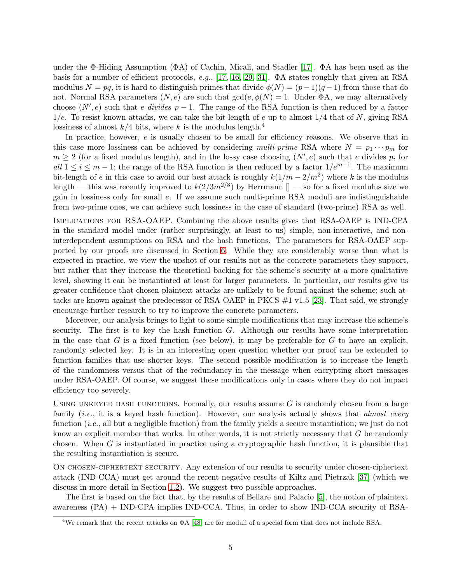<span id="page-4-0"></span>under the Φ-Hiding Assumption (ΦA) of Cachin, Micali, and Stadler [\[17\]](#page-21-3). ΦA has been used as the basis for a number of efficient protocols, *e.g.*, [\[17,](#page-21-3) [16,](#page-21-4) [29,](#page-22-3) [31\]](#page-22-4). ΦA states roughly that given an RSA modulus  $N = pq$ , it is hard to distinguish primes that divide  $\phi(N) = (p-1)(q-1)$  from those that do not. Normal RSA parameters  $(N, e)$  are such that  $gcd(e, \phi(N)) = 1$ . Under  $\Phi A$ , we may alternatively choose  $(N', e)$  such that e *divides*  $p - 1$ . The range of the RSA function is then reduced by a factor  $1/e$ . To resist known attacks, we can take the bit-length of e up to almost  $1/4$  that of N, giving RSA lossiness of almost  $k/4$  bits, where k is the modulus length.<sup>4</sup>

In practice, however, e is usually chosen to be small for efficiency reasons. We observe that in this case more lossiness can be achieved by considering *multi-prime* RSA where  $N = p_1 \cdots p_m$  for  $m \geq 2$  (for a fixed modulus length), and in the lossy case choosing  $(N', e)$  such that e divides  $p_i$  for *all*  $1 \le i \le m - 1$ ; the range of the RSA function is then reduced by a factor  $1/e^{m-1}$ . The maximum bit-length of e in this case to avoid our best attack is roughly  $k(1/m - 2/m^2)$  where k is the modulus length — this was recently improved to  $k(2/3m^{2/3})$  by Herrmann  $\parallel$  — so for a fixed modulus size we gain in lossiness only for small e. If we assume such multi-prime RSA moduli are indistinguishable from two-prime ones, we can achieve such lossiness in the case of standard (two-prime) RSA as well.

Implications for RSA-OAEP. Combining the above results gives that RSA-OAEP is IND-CPA in the standard model under (rather surprisingly, at least to us) simple, non-interactive, and noninterdependent assumptions on RSA and the hash functions. The parameters for RSA-OAEP supported by our proofs are discussed in Section [6.](#page-19-0) While they are considerably worse than what is expected in practice, we view the upshot of our results not as the concrete parameters they support, but rather that they increase the theoretical backing for the scheme's security at a more qualitative level, showing it can be instantiated at least for larger parameters. In particular, our results give us greater confidence that chosen-plaintext attacks are unlikely to be found against the scheme; such attacks are known against the predecessor of RSA-OAEP in PKCS #1 v1.5 [\[23\]](#page-22-5). That said, we strongly encourage further research to try to improve the concrete parameters.

Moreover, our analysis brings to light to some simple modifications that may increase the scheme's security. The first is to key the hash function  $G$ . Although our results have some interpretation in the case that G is a fixed function (see below), it may be preferable for G to have an explicit, randomly selected key. It is in an interesting open question whether our proof can be extended to function families that use shorter keys. The second possible modification is to increase the length of the randomness versus that of the redundancy in the message when encrypting short messages under RSA-OAEP. Of course, we suggest these modifications only in cases where they do not impact efficiency too severely.

USING UNKEYED HASH FUNCTIONS. Formally, our results assume  $G$  is randomly chosen from a large family (*i.e.*, it is a keyed hash function). However, our analysis actually shows that *almost every* function (*i.e.*, all but a negligible fraction) from the family yields a secure instantiation; we just do not know an explicit member that works. In other words, it is not strictly necessary that G be randomly chosen. When  $G$  is instantiated in practice using a cryptographic hash function, it is plausible that the resulting instantiation is secure.

On chosen-ciphertext security. Any extension of our results to security under chosen-ciphertext attack (IND-CCA) must get around the recent negative results of Kiltz and Pietrzak [\[37\]](#page-23-1) (which we discuss in more detail in Section [1.2\)](#page-5-0). We suggest two possible approaches.

The first is based on the fact that, by the results of Bellare and Palacio [\[5\]](#page-20-2), the notion of plaintext awareness (PA) + IND-CPA implies IND-CCA. Thus, in order to show IND-CCA security of RSA-

<sup>4</sup>We remark that the recent attacks on ΦA [\[48\]](#page-24-2) are for moduli of a special form that does not include RSA.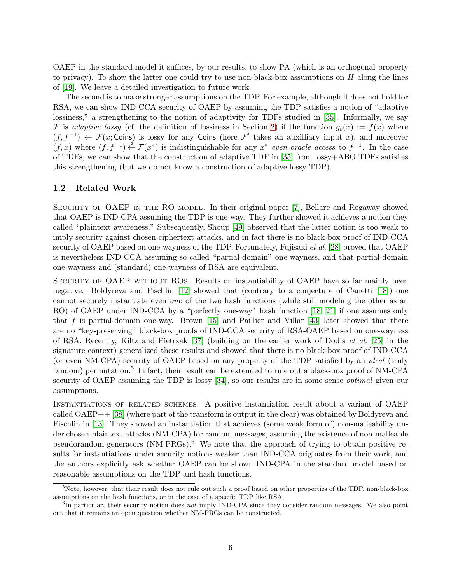<span id="page-5-1"></span>OAEP in the standard model it suffices, by our results, to show PA (which is an orthogonal property to privacy). To show the latter one could try to use non-black-box assumptions on  $H$  along the lines of [\[19\]](#page-21-5). We leave a detailed investigation to future work.

The second is to make stronger assumptions on the TDP. For example, although it does not hold for RSA, we can show IND-CCA security of OAEP by assuming the TDP satisfies a notion of "adaptive lossiness," a strengthening to the notion of adaptivity for TDFs studied in [\[35\]](#page-23-2). Informally, we say F is *adaptive lossy* (cf. the definition of lossiness in Section [2\)](#page-6-0) if the function  $q_c(x) := f(x)$  where  $(f, f^{-1}) \leftarrow \mathcal{F}(x; \text{Coins})$  is lossy for any Coins (here  $\mathcal{F}'$  takes an auxilliary input x), and moreover  $(f, x)$  where  $(f, f^{-1}) \xleftarrow{\$} \mathcal{F}(x^*)$  is indistinguishable for any  $x^*$  even oracle access to  $f^{-1}$ . In the case of TDFs, we can show that the construction of adaptive TDF in [\[35\]](#page-23-2) from lossy+ABO TDFs satisfies this strengthening (but we do not know a construction of adaptive lossy TDP).

#### <span id="page-5-0"></span>1.2 Related Work

SECURITY OF OAEP IN THE RO MODEL. In their original paper [\[7\]](#page-21-0), Bellare and Rogaway showed that OAEP is IND-CPA assuming the TDP is one-way. They further showed it achieves a notion they called "plaintext awareness." Subsequently, Shoup [\[49\]](#page-24-3) observed that the latter notion is too weak to imply security against chosen-ciphertext attacks, and in fact there is no black-box proof of IND-CCA security of OAEP based on one-wayness of the TDP. Fortunately, Fujisaki *et al*. [\[28\]](#page-22-6) proved that OAEP is nevertheless IND-CCA assuming so-called "partial-domain" one-wayness, and that partial-domain one-wayness and (standard) one-wayness of RSA are equivalent.

SECURITY OF OAEP WITHOUT ROS. Results on instantiability of OAEP have so far mainly been negative. Boldyreva and Fischlin [\[12\]](#page-21-6) showed that (contrary to a conjecture of Canetti [\[18\]](#page-21-7)) one cannot securely instantiate even *one* of the two hash functions (while still modeling the other as an RO) of OAEP under IND-CCA by a "perfectly one-way" hash function [\[18,](#page-21-7) [21\]](#page-22-7) if one assumes only that  $f$  is partial-domain one-way. Brown [\[15\]](#page-21-8) and Paillier and Villar [\[43\]](#page-23-3) later showed that there are no "key-preserving" black-box proofs of IND-CCA security of RSA-OAEP based on one-wayness of RSA. Recently, Kiltz and Pietrzak [\[37\]](#page-23-1) (building on the earlier work of Dodis *et al*. [\[25\]](#page-22-8) in the signature context) generalized these results and showed that there is no black-box proof of IND-CCA (or even NM-CPA) security of OAEP based on any property of the TDP satisfied by an *ideal* (truly random) permutation.<sup>5</sup> In fact, their result can be extended to rule out a black-box proof of NM-CPA security of OAEP assuming the TDP is lossy [\[34\]](#page-23-4), so our results are in some sense *optimal* given our assumptions.

Instantiations of related schemes. A positive instantiation result about a variant of OAEP called OAEP++ [\[38\]](#page-23-5) (where part of the transform is output in the clear) was obtained by Boldyreva and Fischlin in [\[13\]](#page-21-9). They showed an instantiation that achieves (some weak form of) non-malleability under chosen-plaintext attacks (NM-CPA) for random messages, assuming the existence of non-malleable pseudorandom generators  $(NM-PRGs).<sup>6</sup>$  We note that the approach of trying to obtain positive results for instantiations under security notions weaker than IND-CCA originates from their work, and the authors explicitly ask whether OAEP can be shown IND-CPA in the standard model based on reasonable assumptions on the TDP and hash functions.

 $5$ Note, however, that their result does not rule out such a proof based on other properties of the TDP, non-black-box assumptions on the hash functions, or in the case of a specific TDP like RSA.

<sup>&</sup>lt;sup>6</sup>In particular, their security notion does not imply IND-CPA since they consider random messages. We also point out that it remains an open question whether NM-PRGs can be constructed.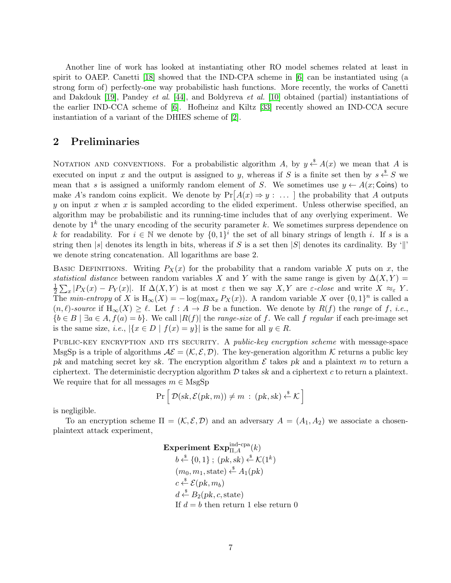<span id="page-6-1"></span>Another line of work has looked at instantiating other RO model schemes related at least in spirit to OAEP. Canetti [\[18\]](#page-21-7) showed that the IND-CPA scheme in [\[6\]](#page-20-1) can be instantiated using (a strong form of) perfectly-one way probabilistic hash functions. More recently, the works of Canetti and Dakdouk [\[19\]](#page-21-5), Pandey *et al*. [\[44\]](#page-23-6), and Boldyreva *et al.* [\[10\]](#page-21-10) obtained (partial) instantiations of the earlier IND-CCA scheme of [\[6\]](#page-20-1). Hofheinz and Kiltz [\[33\]](#page-23-7) recently showed an IND-CCA secure instantiation of a variant of the DHIES scheme of [\[2\]](#page-20-3).

### <span id="page-6-0"></span>2 Preliminaries

NOTATION AND CONVENTIONS. For a probabilistic algorithm A, by  $y \stackrel{\$}{\leftarrow} A(x)$  we mean that A is executed on input x and the output is assigned to y, whereas if S is a finite set then by  $s \stackrel{\$}{\leftarrow} S$  we mean that s is assigned a uniformly random element of S. We sometimes use  $y \leftarrow A(x; \text{Coins})$  to make A's random coins explicit. We denote by  $Pr[A(x) \Rightarrow y : \dots]$  the probability that A outputs y on input x when x is sampled according to the elided experiment. Unless otherwise specified, an algorithm may be probabilistic and its running-time includes that of any overlying experiment. We denote by  $1^k$  the unary encoding of the security parameter k. We sometimes surpress dependence on k for readability. For  $i \in \mathbb{N}$  we denote by  $\{0,1\}^i$  the set of all binary strings of length i. If s is a string then |s| denotes its length in bits, whereas if S is a set then |S| denotes its cardinality. By '||' we denote string concatenation. All logarithms are base 2.

BASIC DEFINITIONS. Writing  $P_X(x)$  for the probability that a random variable X puts on x, the *statistical distance* between random variables X and Y with the same range is given by  $\Delta(X, Y) =$ 1  $\frac{1}{2}\sum_{x} |P_X(x) - P_Y(x)|$ . If  $\Delta(X, Y)$  is at most  $\varepsilon$  then we say  $X, Y$  are  $\varepsilon$ -close and write  $X \approx_{\varepsilon} Y$ . The *min-entropy* of X is  $H_{\infty}(X) = -\log(\max_x P_X(x))$ . A random variable X over  $\{0,1\}^n$  is called a  $(n, \ell)$ -source if  $H_{\infty}(X) \geq \ell$ . Let  $f : A \to B$  be a function. We denote by  $R(f)$  the *range* of f, *i.e.*,  ${b \in B \mid \exists a \in A, f(a) = b}$ . We call  $|R(f)|$  the *range-size* of f. We call f *regular* if each pre-image set is the same size, *i.e.*,  $|\{x \in D \mid f(x) = y\}|$  is the same for all  $y \in R$ .

Public-key encryption and its security. A *public-key encryption scheme* with message-space MsgSp is a triple of algorithms  $A\mathcal{E} = (\mathcal{K}, \mathcal{E}, \mathcal{D})$ . The key-generation algorithm  $\mathcal{K}$  returns a public key pk and matching secret key sk. The encryption algorithm  $\mathcal E$  takes pk and a plaintext m to return a ciphertext. The deterministic decryption algorithm  $D$  takes sk and a ciphertext c to return a plaintext. We require that for all messages  $m \in \text{MsgSp}$ 

$$
\Pr\left[\,\mathcal{D}(sk,\mathcal{E}(pk,m)) \neq m \;:\; (pk, sk) \stackrel{\$}{\leftarrow} \mathcal{K}\,\right]
$$

is negligible.

To an encryption scheme  $\Pi = (\mathcal{K}, \mathcal{E}, \mathcal{D})$  and an adversary  $A = (A_1, A_2)$  we associate a chosenplaintext attack experiment,

> Experiment  $\mathrm{Exp}_{\Pi,A}^{\mathrm{ind-cpa}}(k)$  $b \stackrel{\$}{\leftarrow} \{0,1\}$ ;  $(pk, sk) \stackrel{\$}{\leftarrow} \mathcal{K}(1^k)$  $(m_0, m_1, \text{state}) \overset{\$}{\leftarrow} A_1(pk)$  $c \stackrel{\$}{\leftarrow} \mathcal{E}(pk, m_b)$  $d \stackrel{\$}{\leftarrow} B_2(pk, c, \text{state})$ If  $d = b$  then return 1 else return 0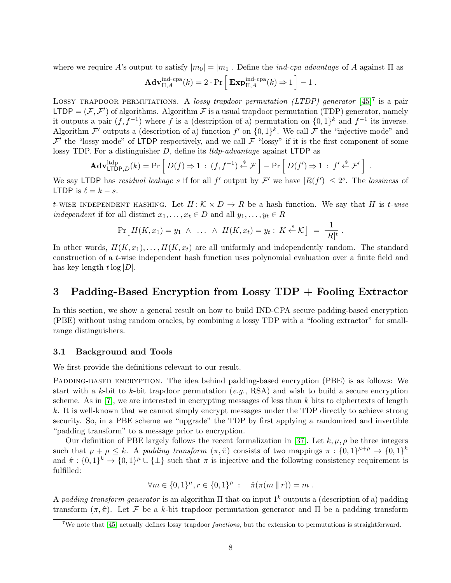<span id="page-7-2"></span>where we require A's output to satisfy  $|m_0| = |m_1|$ . Define the *ind-cpa advantage* of A against  $\Pi$  as

$$
\mathbf{Adv}_{\Pi,A}^{\text{ind-cpa}}(k) = 2 \cdot \Pr\left[\ \mathbf{Exp}_{\Pi,A}^{\text{ind-cpa}}(k) \Rightarrow 1 \right] - 1 \ .
$$

LOSSY TRAPDOOR PERMUTATIONS. A *lossy trapdoor permutation (LTDP) generator* [\[45\]](#page-23-0)<sup>7</sup> is a pair LTDP =  $(F, F')$  of algorithms. Algorithm F is a usual trapdoor permutation (TDP) generator, namely it outputs a pair  $(f, f^{-1})$  where f is a (description of a) permutation on  $\{0, 1\}^k$  and  $f^{-1}$  its inverse. Algorithm  $\mathcal{F}'$  outputs a (description of a) function  $f'$  on  $\{0,1\}^k$ . We call  $\mathcal{F}$  the "injective mode" and  $\mathcal{F}'$  the "lossy mode" of LTDP respectively, and we call  $\mathcal{F}$  "lossy" if it is the first component of some lossy TDP. For a distinguisher D, define its *ltdp-advantage* against LTDP as

$$
\mathbf{Adv}_{\mathsf{LTDP},D}^{\mathsf{ltdp}}(k) = \Pr\left[D(f) \Rightarrow 1 \; : \; (f, f^{-1}) \stackrel{\$}{\leftarrow} \mathcal{F}\right] - \Pr\left[D(f') \Rightarrow 1 \; : \; f' \stackrel{\$}{\leftarrow} \mathcal{F}'\right].
$$

We say LTDP has *residual leakage* s if for all  $f'$  output by  $\mathcal{F}'$  we have  $|R(f')| \leq 2^s$ . The *lossiness* of LTDP is  $\ell = k - s$ .

t-wise INDEPENDENT HASHING. Let  $H : K \times D \to R$  be a hash function. We say that H is t-wise *independent* if for all distinct  $x_1, \ldots, x_t \in D$  and all  $y_1, \ldots, y_t \in R$ 

$$
\Pr[H(K, x_1) = y_1 \ \land \ \ldots \ \land \ H(K, x_t) = y_t : K \stackrel{s}{\leftarrow} \mathcal{K} \,] = \frac{1}{|R|^t} \, .
$$

In other words,  $H(K, x_1), \ldots, H(K, x_t)$  are all uniformly and independently random. The standard construction of a t-wise independent hash function uses polynomial evaluation over a finite field and has key length  $t \log |D|$ .

## <span id="page-7-0"></span>3 Padding-Based Encryption from Lossy TDP + Fooling Extractor

In this section, we show a general result on how to build IND-CPA secure padding-based encryption (PBE) without using random oracles, by combining a lossy TDP with a "fooling extractor" for smallrange distinguishers.

#### <span id="page-7-1"></span>3.1 Background and Tools

We first provide the definitions relevant to our result.

PADDING-BASED ENCRYPTION. The idea behind padding-based encryption (PBE) is as follows: We start with a k-bit to k-bit trapdoor permutation (*e.g.*, RSA) and wish to build a secure encryption scheme. As in  $[7]$ , we are interested in encrypting messages of less than k bits to ciphertexts of length k. It is well-known that we cannot simply encrypt messages under the TDP directly to achieve strong security. So, in a PBE scheme we "upgrade" the TDP by first applying a randomized and invertible "padding transform" to a message prior to encryption.

Our definition of PBE largely follows the recent formalization in [\[37\]](#page-23-1). Let  $k, \mu, \rho$  be three integers such that  $\mu + \rho \leq k$ . A *padding transform*  $(\pi, \hat{\pi})$  consists of two mappings  $\pi : \{0, 1\}^{\mu+\rho} \to \{0, 1\}^k$ and  $\hat{\pi}: \{0,1\}^k \to \{0,1\}^{\mu} \cup \{\perp\}$  such that  $\pi$  is injective and the following consistency requirement is fulfilled:

 $\forall m \in \{0,1\}^{\mu}, r \in \{0,1\}^{\rho} : \quad \hat{\pi}(\pi(m \parallel r)) = m .$ 

A *padding transform generator* is an algorithm  $\Pi$  that on input  $1^k$  outputs a (description of a) padding transform  $(\pi, \hat{\pi})$ . Let F be a k-bit trapdoor permutation generator and  $\Pi$  be a padding transform

<sup>7</sup>We note that [\[45\]](#page-23-0) actually defines lossy trapdoor functions, but the extension to permutations is straightforward.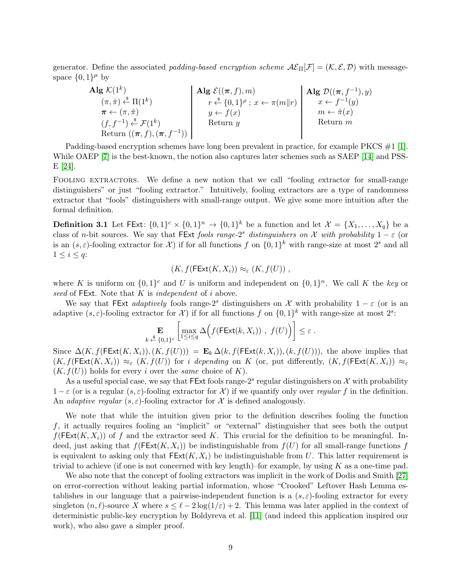<span id="page-8-0"></span>generator. Define the associated *padding-based encryption scheme*  $\mathcal{AE}_{\Pi}[\mathcal{F}] = (\mathcal{K}, \mathcal{E}, \mathcal{D})$  with messagespace  $\{0,1\}^{\mu}$  by

$$
\begin{array}{c|c|c|c} \textbf{Alg} & \mathcal{K}(1^k) & & \textbf{Alg} & \mathcal{E}((\pi, f), m) & & \textbf{Alg} & \mathcal{D}((\pi, f^{-1}), y) \\ & & (\pi, \hat{\pi}) \stackrel{\$}{\leftarrow} \Pi(1^k) & & r \stackrel{\$}{\leftarrow} \{0, 1\}^{\rho} \colon x \leftarrow \pi(m||r) & & x \leftarrow f^{-1}(y) \\ & y \leftarrow f(x) & & m \leftarrow \hat{\pi}(x) \\ & \text{Return } (m, f), (\pi, f^{-1}) \stackrel{\$}{\leftarrow} \mathcal{F}(1^k) & & \text{Return } m \\ \end{array}
$$

Padding-based encryption schemes have long been prevalent in practice, for example PKCS  $\#1$  [\[1\]](#page-20-0). While OAEP [\[7\]](#page-21-0) is the best-known, the notion also captures later schemes such as SAEP [\[14\]](#page-21-1) and PSS-E [\[24\]](#page-22-1).

Fooling extractors. We define a new notion that we call "fooling extractor for small-range distinguishers" or just "fooling extractor." Intuitively, fooling extractors are a type of randomness extractor that "fools" distinguishers with small-range output. We give some more intuition after the formal definition.

**Definition 3.1** Let FExt:  $\{0,1\}^c \times \{0,1\}^n \to \{0,1\}^k$  be a function and let  $\mathcal{X} = \{X_1, \ldots, X_q\}$  be a class of *n*-bit sources. We say that FExt *fools range-*2<sup>*s*</sup> distinguishers on X with probability  $1 - \varepsilon$  (or is an  $(s, \varepsilon)$ -fooling extractor for X) if for all functions f on  $\{0, 1\}^k$  with range-size at most  $2^s$  and all  $1\leq i\leq q$ :

$$
(K, f(\mathsf{FExt}(K,X_i)) \approx_{\varepsilon} (K, f(U)),
$$

where K is uniform on  $\{0,1\}^c$  and U is uniform and independent on  $\{0,1\}^n$ . We call K the key or *seed* of FExt. Note that K is *independent* of i above.

We say that FExt *adaptively* fools range-2<sup>s</sup> distinguishers on X with probability  $1 - \varepsilon$  (or is an adaptive  $(s, \varepsilon)$ -fooling extractor for X) if for all functions f on  $\{0, 1\}^k$  with range-size at most  $2^s$ :

$$
\mathbf{E}\left[\max_{k\stackrel{\$}{\leftarrow}\{0,1\}^c}\left[\max_{1\leq i\leq q}\Delta\Big(f(\mathsf{FExt}(k,X_i))\;,\;f(U)\Big)\right]\leq\varepsilon\;.
$$

Since  $\Delta(K, f(\text{FExt}(K, X_i)), (K, f(U))) = \mathbf{E}_k \Delta(k, f(\text{FExt}(k, X_i)), (k, f(U))),$  the above implies that  $(K, f(\text{FExt}(K, X_i)) \approx_{\varepsilon} (K, f(U))$  for *i depending* on K (or, put differently,  $(K, f(\text{FExt}(K, X_i)) \approx_{\varepsilon}$  $(K, f(U))$  holds for every *i* over the *same* choice of K).

As a useful special case, we say that  $\textsf{FExt}$  fools range- $2^s$  regular distinguishers on  $\mathcal X$  with probability  $1 - \varepsilon$  (or is a regular  $(s, \varepsilon)$ -fooling extractor for X) if we quantify only over *regular* f in the definition. An *adaptive regular*  $(s, \varepsilon)$ -fooling extractor for X is defined analogously.

We note that while the intuition given prior to the definition describes fooling the function f, it actually requires fooling an "implicit" or "external" distinguisher that sees both the output  $f(FExt(K, X_i))$  of f and the extractor seed K. This crucial for the definition to be meaningful. Indeed, just asking that  $f(FExt(K, X_i))$  be indistinguishable from  $f(U)$  for all small-range functions f is equivalent to asking only that  $FExt(K, X_i)$  be indistinguishable from U. This latter requirement is trivial to achieve (if one is not concerned with key length)–for example, by using  $K$  as a one-time pad.

We also note that the concept of fooling extractors was implicit in the work of Dodis and Smith [\[27\]](#page-22-2) on error-correction without leaking partial information, whose "Crooked" Leftover Hash Lemma establishes in our language that a pairwise-independent function is a  $(s, \varepsilon)$ -fooling extractor for every singleton  $(n, \ell)$ -source X where  $s \leq \ell - 2\log(1/\varepsilon) + 2$ . This lemma was later applied in the context of deterministic public-key encryption by Boldyreva et al. [\[11\]](#page-21-2) (and indeed this application inspired our work), who also gave a simpler proof.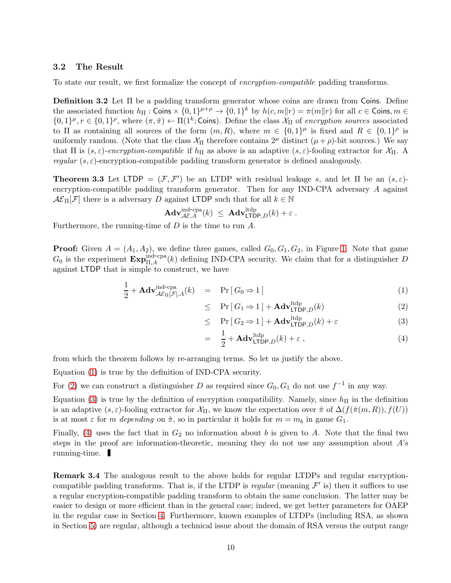#### <span id="page-9-0"></span>3.2 The Result

To state our result, we first formalize the concept of *encryption-compatible* padding transforms.

Definition 3.2 Let Π be a padding transform generator whose coins are drawn from Coins. Define the associated function  $h_{\Pi}$ : Coins  $\times \{0,1\}^{\mu+\rho} \to \{0,1\}^k$  by  $h(c, m||r) = \pi(m||r)$  for all  $c \in \text{Coins}, m \in \mathbb{R}$  $\{0,1\}^{\mu}, r \in \{0,1\}^{\rho}$ , where  $(\pi, \hat{\pi}) \leftarrow \Pi(1^k; \text{Coins})$ . Define the class  $\mathcal{X}_{\Pi}$  of *encryption sources* associated to  $\Pi$  as containing all sources of the form  $(m, R)$ , where  $m \in \{0, 1\}^{\mu}$  is fixed and  $R \in \{0, 1\}^{\rho}$  is uniformly random. (Note that the class  $\mathcal{X}_{\Pi}$  therefore contains  $2^{\mu}$  distinct  $(\mu + \rho)$ -bit sources.) We say that  $\Pi$  is  $(s, \varepsilon)$ *-encryption-compatible* if  $h_{\Pi}$  as above is an adaptive  $(s, \varepsilon)$ -fooling extractor for  $\mathcal{X}_{\Pi}$ . A *regular*  $(s, \varepsilon)$ -encryption-compatible padding transform generator is defined analogously.

<span id="page-9-2"></span>**Theorem 3.3** Let LTDP =  $(\mathcal{F}, \mathcal{F}')$  be an LTDP with residual leakage s, and let  $\Pi$  be an  $(s, \varepsilon)$ encryption-compatible padding transform generator. Then for any IND-CPA adversary A against  $A\mathcal{E}_{\Pi}[\mathcal{F}]$  there is a adversary D against LTDP such that for all  $k \in \mathbb{N}$ 

$$
\mathbf{Adv}_{\mathcal{AE},A}^{\text{ind-cpa}}(k) \ \leq \ \mathbf{Adv}_{\mathsf{LTDP},D}^{\text{ltdp}}(k) + \varepsilon \ .
$$

Furthermore, the running-time of  $D$  is the time to run  $A$ .

**Proof:** Given  $A = (A_1, A_2)$ , we define three games, called  $G_0, G_1, G_2$ , in Figure [1.](#page-10-3) Note that game  $G_0$  is the experiment  $\mathbf{Exp}_{\Pi,A}^{\text{ind-cpa}}(k)$  defining IND-CPA security. We claim that for a distinguisher D against LTDP that is simple to construct, we have

<span id="page-9-1"></span>
$$
\frac{1}{2} + \mathbf{Adv}_{\mathcal{A}\mathcal{E}_{\Pi}[\mathcal{F}],A}^{\text{ind-cpa}}(k) = \Pr\{G_0 \Rightarrow 1\} \tag{1}
$$

$$
\leq \quad \Pr\left[G_1 \Rightarrow 1\right] + \mathbf{Adv}_{\mathsf{LTDP},D}^{\mathrm{ltdp}}(k) \tag{2}
$$

$$
\leq \quad \Pr\left[G_2 \Rightarrow 1\right] + \mathbf{Adv}_{\mathsf{LTDP},D}^{\mathsf{ltdp}}(k) + \varepsilon \tag{3}
$$

$$
= \frac{1}{2} + \mathbf{Adv}_{\mathsf{LTDP},D}^{\mathrm{ltdp}}(k) + \varepsilon , \qquad (4)
$$

from which the theorem follows by re-arranging terms. So let us justify the above.

Equation [\(1\)](#page-9-1) is true by the definition of IND-CPA security.

For [\(2\)](#page-9-1) we can construct a distinguisher D as required since  $G_0, G_1$  do not use  $f^{-1}$  in any way.

Equation [\(3\)](#page-9-1) is true by the definition of encryption compatibility. Namely, since  $h_{\Pi}$  in the definition is an adaptive  $(s, \varepsilon)$ -fooling extractor for  $\mathcal{X}_{\Pi}$ , we know the expectation over  $\hat{\pi}$  of  $\Delta(f(\hat{\pi}(m, R)), f(U))$ is at most  $\varepsilon$  for m *depending* on  $\hat{\pi}$ , so in particular it holds for  $m = m_b$  in game  $G_1$ .

Finally, [\(4\)](#page-9-1) uses the fact that in  $G_2$  no information about b is given to A. Note that the final two steps in the proof are information-theoretic, meaning they do not use any assumption about  $A$ 's running-time.

Remark 3.4 The analogous result to the above holds for regular LTDPs and regular encryptioncompatible padding transforms. That is, if the LTDP is *regular* (meaning  $\mathcal{F}'$  is) then it suffices to use a regular encryption-compatible padding transform to obtain the same conclusion. The latter may be easier to design or more efficient than in the general case; indeed, we get better parameters for OAEP in the regular case in Section [4.](#page-10-0) Furthermore, known examples of LTDPs (including RSA, as shown in Section [5\)](#page-14-0) are regular, although a technical issue about the domain of RSA versus the output range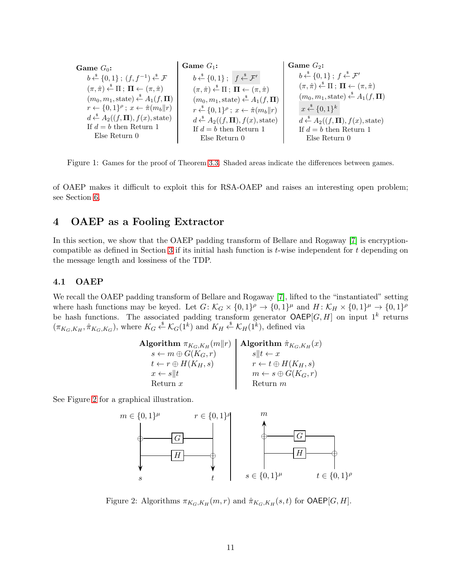<span id="page-10-4"></span>

| Game $G_0$ :                                                                                                                  | Game $G_1$ :                                                                         | Game $G_2$ :                                                                                                          |
|-------------------------------------------------------------------------------------------------------------------------------|--------------------------------------------------------------------------------------|-----------------------------------------------------------------------------------------------------------------------|
| $b \stackrel{\$}{\leftarrow} \{0,1\}$ ; $(f, f^{-1}) \stackrel{\$}{\leftarrow} \mathcal{F}$                                   | $b \stackrel{\$}{\leftarrow} \{0,1\}$ ; $f \stackrel{\$}{\leftarrow} \mathcal{F}'$   | $b \stackrel{\$}{\leftarrow} \{0,1\}$ ; $f \stackrel{\$}{\leftarrow} \mathcal{F}'$                                    |
| $(\pi, \hat{\pi}) \stackrel{\hspace{0.1em}\mathsf{\scriptscriptstyle\$}}{\leftarrow} \Pi$ ; $\Pi \leftarrow (\pi, \hat{\pi})$ | $(\pi, \hat{\pi}) \stackrel{\$}{\leftarrow} \Pi$ ; $\Pi \leftarrow (\pi, \hat{\pi})$ | $(\pi, \hat{\pi}) \stackrel{\$}{\leftarrow} \Pi$ ; $\Pi \leftarrow (\pi, \hat{\pi})$                                  |
| $(m_0, m_1, \text{state}) \overset{\text{s}}{\leftarrow} A_1(f, \Pi)$                                                         | $(m_0, m_1, \text{state}) \overset{\text{\$}}{\leftarrow} A_1(f, \Pi)$               | $(m_0, m_1, \text{state}) \overset{\hspace{0.1em}\mathsf{\scriptscriptstyle\$}}{\leftarrow} A_1(f, \boldsymbol{\Pi})$ |
| $r \leftarrow \{0,1\}^{\rho}$ ; $x \leftarrow \hat{\pi}(m_b  r)$                                                              | $r \stackrel{\$}{\leftarrow} \{0,1\}^{\rho}$ ; $x \leftarrow \hat{\pi}(m_b  r)$      | $x \xleftarrow{\$} \{0,1\}^k$                                                                                         |
| $d \stackrel{\$}{\leftarrow} A_2((f,\Pi),f(x),\text{state})$                                                                  | $d \stackrel{\$}{\leftarrow} A_2((f,\Pi),f(x),\text{state})$                         | $d \stackrel{\$}{\leftarrow} A_2((f,\Pi),f(x),\text{state})$                                                          |
| If $d = b$ then Return 1                                                                                                      | If $d = b$ then Return 1                                                             | If $d = b$ then Return 1                                                                                              |
| Else Return 0                                                                                                                 | Else Return 0                                                                        | Else Return 0                                                                                                         |

<span id="page-10-3"></span>Figure 1: Games for the proof of Theorem [3.3.](#page-9-2) Shaded areas indicate the differences between games.

of OAEP makes it difficult to exploit this for RSA-OAEP and raises an interesting open problem; see Section [6.](#page-19-0)

# <span id="page-10-0"></span>4 OAEP as a Fooling Extractor

In this section, we show that the OAEP padding transform of Bellare and Rogaway [\[7\]](#page-21-0) is encryption-compatible as defined in Section [3](#page-7-0) if its initial hash function is  $t$ -wise independent for  $t$  depending on the message length and lossiness of the TDP.

#### <span id="page-10-1"></span>4.1 OAEP

We recall the OAEP padding transform of Bellare and Rogaway [\[7\]](#page-21-0), lifted to the "instantiated" setting where hash functions may be keyed. Let  $G: \mathcal{K}_G \times \{0,1\}^{\rho} \to \{0,1\}^{\mu}$  and  $H: \mathcal{K}_H \times \{0,1\}^{\mu} \to \{0,1\}^{\rho}$ be hash functions. The associated padding transform generator  $\mathsf{OAEP}[G, H]$  on input  $1^k$  returns  $(\pi_{K_G,K_H}, \hat{\pi}_{K_G,K_G})$ , where  $K_G \xleftarrow{\$} \mathcal{K}_G(1^k)$  and  $K_H \xleftarrow{\$} \mathcal{K}_H(1^k)$ , defined via

| Algorithm $\pi_{K_G,K_H}(m  r)$  | Algorithm $\hat{\pi}_{K_G,K_H}(x)$ |
|----------------------------------|------------------------------------|
| $s \leftarrow m \oplus G(K_G,r)$ | $s  t \leftarrow x$                |
| $t \leftarrow r \oplus H(K_H,s)$ | $r \leftarrow t \oplus H(K_H,s)$   |
| $x \leftarrow s  t$              | $m \leftarrow s \oplus G(K_G,r)$   |
| Returns $x$                      | Returns $m$                        |

See Figure [2](#page-10-2) for a graphical illustration.



<span id="page-10-2"></span>Figure 2: Algorithms  $\pi_{K_G,K_H}(m,r)$  and  $\hat{\pi}_{K_G,K_H}(s,t)$  for  $\mathsf{OAEP}[G,H]$ .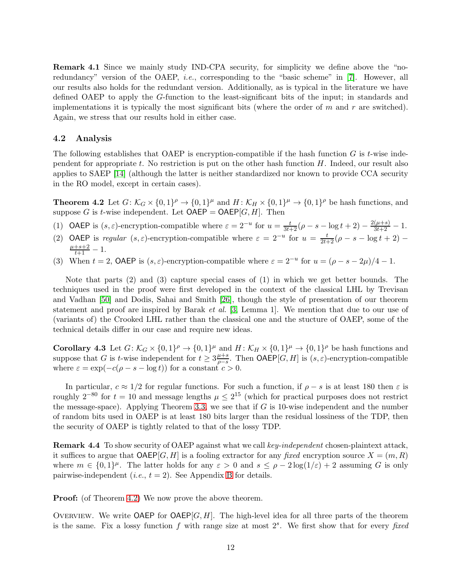<span id="page-11-2"></span>Remark 4.1 Since we mainly study IND-CPA security, for simplicity we define above the "noredundancy" version of the OAEP, *i.e.*, corresponding to the "basic scheme" in [\[7\]](#page-21-0). However, all our results also holds for the redundant version. Additionally, as is typical in the literature we have defined OAEP to apply the G-function to the least-significant bits of the input; in standards and implementations it is typically the most significant bits (where the order of  $m$  and  $r$  are switched). Again, we stress that our results hold in either case.

#### <span id="page-11-0"></span>4.2 Analysis

The following establishes that OAEP is encryption-compatible if the hash function  $G$  is  $t$ -wise independent for appropriate  $t$ . No restriction is put on the other hash function  $H$ . Indeed, our result also applies to SAEP [\[14\]](#page-21-1) (although the latter is neither standardized nor known to provide CCA security in the RO model, except in certain cases).

<span id="page-11-1"></span>**Theorem 4.2** Let  $G: \mathcal{K}_G \times \{0,1\}^{\rho} \to \{0,1\}^{\mu}$  and  $H: \mathcal{K}_H \times \{0,1\}^{\mu} \to \{0,1\}^{\rho}$  be hash functions, and suppose G is t-wise independent. Let  $OAEP = OAEP[G, H]$ . Then

- (1) OAEP is  $(s, \varepsilon)$ -encryption-compatible where  $\varepsilon = 2^{-u}$  for  $u = \frac{t}{3t+2}(\rho s \log t + 2) \frac{2(\mu + s)}{3t+2} 1$ .
- (2) OAEP is *regular*  $(s, \varepsilon)$ -encryption-compatible where  $\varepsilon = 2^{-u}$  for  $u = \frac{t}{2t+2} (\rho s \log t + 2) \frac{\mu + s + 2}{t+1} 1$ .
- (3) When  $t = 2$ , OAEP is  $(s, \varepsilon)$ -encryption-compatible where  $\varepsilon = 2^{-u}$  for  $u = (\rho s 2\mu)/4 1$ .

Note that parts (2) and (3) capture special cases of (1) in which we get better bounds. The techniques used in the proof were first developed in the context of the classical LHL by Trevisan and Vadhan [\[50\]](#page-24-1) and Dodis, Sahai and Smith [\[26\]](#page-22-9), though the style of presentation of our theorem statement and proof are inspired by Barak *et al.* [\[3,](#page-20-4) Lemma 1]. We mention that due to our use of (variants of) the Crooked LHL rather than the classical one and the stucture of OAEP, some of the technical details differ in our case and require new ideas.

**Corollary 4.3** Let  $G: K_G \times \{0,1\}^{\rho} \to \{0,1\}^{\mu}$  and  $H: K_H \times \{0,1\}^{\mu} \to \{0,1\}^{\rho}$  be hash functions and suppose that G is t-wise independent for  $t \geq 3\frac{\mu+s}{\rho-s}$  $\frac{\mu+s}{\rho-s}$ . Then OAEP[G, H] is  $(s,\varepsilon)$ -encryption-compatible where  $\varepsilon = \exp(-c(\rho - s - \log t))$  for a constant  $c > 0$ .

In particular,  $c \approx 1/2$  for regular functions. For such a function, if  $\rho - s$  is at least 180 then  $\varepsilon$  is roughly  $2^{-80}$  for  $t = 10$  and message lengths  $\mu \leq 2^{15}$  (which for practical purposes does not restrict the message-space). Applying Theorem [3.3,](#page-9-2) we see that if  $G$  is 10-wise independent and the number of random bits used in OAEP is at least 180 bits larger than the residual lossiness of the TDP, then the security of OAEP is tightly related to that of the lossy TDP.

Remark 4.4 To show security of OAEP against what we call *key-independent* chosen-plaintext attack, it suffices to argue that  $O A E P [G, H]$  is a fooling extractor for any *fixed* encryption source  $X = (m, R)$ where  $m \in \{0,1\}^{\mu}$ . The latter holds for any  $\varepsilon > 0$  and  $s \leq \rho - 2\log(1/\varepsilon) + 2$  assuming G is only pairwise-independent (*i.e.*,  $t = 2$ ). See Appendix [B](#page-26-0) for details.

**Proof:** (of Theorem [4.2\)](#page-11-1) We now prove the above theorem.

OVERVIEW. We write OAEP for OAEP $[G, H]$ . The high-level idea for all three parts of the theorem is the same. Fix a lossy function  $f$  with range size at most  $2<sup>s</sup>$ . We first show that for every *fixed*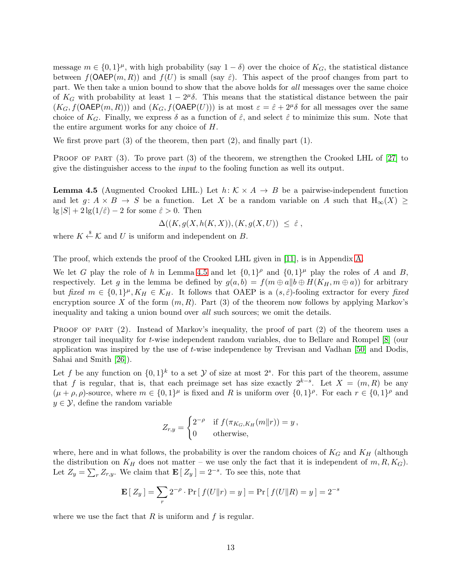<span id="page-12-1"></span>message  $m \in \{0,1\}^{\mu}$ , with high probability (say  $1-\delta$ ) over the choice of  $K_G$ , the statistical distance between  $f(\mathsf{OAEP}(m, R))$  and  $f(U)$  is small (say  $\hat{\varepsilon}$ ). This aspect of the proof changes from part to part. We then take a union bound to show that the above holds for *all* messages over the same choice of  $K_G$  with probability at least  $1 - 2^{\mu} \delta$ . This means that the statistical distance between the pair  $(K_G, f(\text{OAEP}(m, R)))$  and  $(K_G, f(\text{OAEP}(U)))$  is at most  $\varepsilon = \hat{\varepsilon} + 2^{\mu} \delta$  for all messages over the same choice of  $K_G$ . Finally, we express  $\delta$  as a function of  $\hat{\varepsilon}$ , and select  $\hat{\varepsilon}$  to minimize this sum. Note that the entire argument works for any choice of H.

We first prove part (3) of the theorem, then part (2), and finally part (1).

<span id="page-12-0"></span>PROOF OF PART (3). To prove part (3) of the theorem, we strengthen the Crooked LHL of [\[27\]](#page-22-2) to give the distinguisher access to the *input* to the fooling function as well its output.

**Lemma 4.5** (Augmented Crooked LHL.) Let  $h: K \times A \rightarrow B$  be a pairwise-independent function and let  $g: A \times B \to S$  be a function. Let X be a random variable on A such that  $H_{\infty}(X) \ge$  $\lg |S| + 2 \lg(1/\hat{\varepsilon}) - 2$  for some  $\hat{\varepsilon} > 0$ . Then

 $\Delta((K, g(X, h(K, X)), (K, g(X, U))) \leq \hat{\varepsilon},$ 

where  $K \xleftarrow{\$} \mathcal{K}$  and U is uniform and independent on B.

The proof, which extends the proof of the Crooked LHL given in [\[11\]](#page-21-2), is in Appendix [A.](#page-24-0)

We let G play the role of h in Lemma [4.5](#page-12-0) and let  $\{0,1\}^{\rho}$  and  $\{0,1\}^{\mu}$  play the roles of A and B, respectively. Let g in the lemma be defined by  $g(a, b) = f(m \oplus a || b \oplus H(K_H, m \oplus a))$  for arbitrary but *fixed*  $m \in \{0,1\}^{\mu}, K_H \in \mathcal{K}_H$ . It follows that OAEP is a  $(s,\hat{\varepsilon})$ -fooling extractor for every *fixed* encryption source X of the form  $(m, R)$ . Part (3) of the theorem now follows by applying Markov's inequality and taking a union bound over *all* such sources; we omit the details.

PROOF OF PART (2). Instead of Markov's inequality, the proof of part (2) of the theorem uses a stronger tail inequality for t-wise independent random variables, due to Bellare and Rompel [\[8\]](#page-21-11) (our application was inspired by the use of  $t$ -wise independence by Trevisan and Vadhan [\[50\]](#page-24-1) and Dodis, Sahai and Smith [\[26\]](#page-22-9)).

Let f be any function on  $\{0,1\}^k$  to a set Y of size at most  $2^s$ . For this part of the theorem, assume that f is regular, that is, that each preimage set has size exactly  $2^{k-s}$ . Let  $X = (m, R)$  be any  $(\mu + \rho, \rho)$ -source, where  $m \in \{0, 1\}^{\mu}$  is fixed and R is uniform over  $\{0, 1\}^{\rho}$ . For each  $r \in \{0, 1\}^{\rho}$  and  $y \in \mathcal{Y}$ , define the random variable

$$
Z_{r,y} = \begin{cases} 2^{-\rho} & \text{if } f(\pi_{K_G,K_H}(m||r)) = y, \\ 0 & \text{otherwise,} \end{cases}
$$

where, here and in what follows, the probability is over the random choices of  $K_G$  and  $K_H$  (although the distribution on  $K_H$  does not matter – we use only the fact that it is independent of  $m, R, K_G$ ). Let  $Z_y = \sum_r Z_{r,y}$ . We claim that  $\mathbf{E}[Z_y] = 2^{-s}$ . To see this, note that

$$
\mathbf{E}[Z_y] = \sum_r 2^{-\rho} \cdot \Pr[f(U||r) = y] = \Pr[f(U||R) = y] = 2^{-s}
$$

where we use the fact that  $R$  is uniform and  $f$  is regular.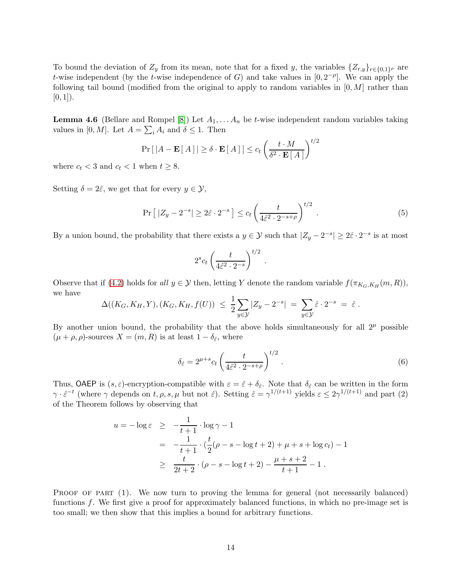<span id="page-13-2"></span>To bound the deviation of  $Z_y$  from its mean, note that for a fixed y, the variables  $\{Z_{r,y}\}_{r\in\{0,1\}^{\rho}}$  are t-wise independent (by the t-wise independence of G) and take values in  $[0, 2^{-\rho}]$ . We can apply the following tail bound (modified from the original to apply to random variables in  $[0, M]$  rather than  $[0, 1]$ .

**Lemma 4.6** (Bellare and Rompel [\[8\]](#page-21-11)) Let  $A_1, \ldots, A_n$  be *t*-wise independent random variables taking values in [0, M]. Let  $A = \sum_i A_i$  and  $\delta \leq 1$ . Then

$$
\Pr\left[\left|A - \mathbf{E}\left[A\right]\right| \ge \delta \cdot \mathbf{E}\left[A\right]\right] \le c_t \left(\frac{t \cdot M}{\delta^2 \cdot \mathbf{E}\left[A\right]}\right)^{t/2}
$$

where  $c_t < 3$  and  $c_t < 1$  when  $t \geq 8$ .

Setting  $\delta = 2\hat{\varepsilon}$ , we get that for every  $y \in \mathcal{Y}$ ,

$$
\Pr\left[|Z_y - 2^{-s}| \ge 2\hat{\varepsilon} \cdot 2^{-s}\right] \le c_t \left(\frac{t}{4\hat{\varepsilon}^2 \cdot 2^{-s+\rho}}\right)^{t/2} \,. \tag{5}
$$

By a union bound, the probability that there exists a  $y \in \mathcal{Y}$  such that  $|Z_y - 2^{-s}| \geq 2\hat{\varepsilon} \cdot 2^{-s}$  is at most

<span id="page-13-0"></span>
$$
2^s c_t \left(\frac{t}{4\hat{\varepsilon}^2 \cdot 2^{-s}}\right)^{t/2} .
$$

Observe that if [\(4.2\)](#page-13-0) holds for *all*  $y \in Y$  then, letting Y denote the random variable  $f(\pi_{K_G,K_H}(m, R))$ , we have

$$
\Delta((K_G, K_H, Y), (K_G, K_H, f(U)) \leq \frac{1}{2} \sum_{y \in \mathcal{Y}} |Z_y - 2^{-s}| = \sum_{y \in \mathcal{Y}} \hat{\varepsilon} \cdot 2^{-s} = \hat{\varepsilon}.
$$

By another union bound, the probability that the above holds simultaneously for all  $2^{\mu}$  possible  $(\mu + \rho, \rho)$ -sources  $X = (m, R)$  is at least  $1 - \delta_{\hat{\varepsilon}}$ , where

<span id="page-13-1"></span>
$$
\delta_{\hat{\varepsilon}} = 2^{\mu+s} c_t \left( \frac{t}{4\hat{\varepsilon}^2 \cdot 2^{-s+\rho}} \right)^{t/2} . \tag{6}
$$

Thus, OAEP is  $(s, \varepsilon)$ -encryption-compatible with  $\varepsilon = \hat{\varepsilon} + \delta_{\hat{\varepsilon}}$ . Note that  $\delta_{\hat{\varepsilon}}$  can be written in the form  $\gamma \cdot \hat{\varepsilon}^{-t}$  (where  $\gamma$  depends on  $t, \rho, s, \mu$  but not  $\hat{\varepsilon}$ ). Setting  $\hat{\varepsilon} = \gamma^{1/(t+1)}$  yields  $\varepsilon \leq 2\gamma^{1/(t+1)}$  and part (2) of the Theorem follows by observing that

$$
u = -\log \varepsilon \ge -\frac{1}{t+1} \cdot \log \gamma - 1
$$
  
=  $-\frac{1}{t+1} \cdot (\frac{t}{2}(\rho - s - \log t + 2) + \mu + s + \log c_t) - 1$   
 $\ge \frac{t}{2t+2} \cdot (\rho - s - \log t + 2) - \frac{\mu + s + 2}{t+1} - 1.$ 

PROOF OF PART (1). We now turn to proving the lemma for general (not necessarily balanced) functions f. We first give a proof for approximately balanced functions, in which no pre-image set is too small; we then show that this implies a bound for arbitrary functions.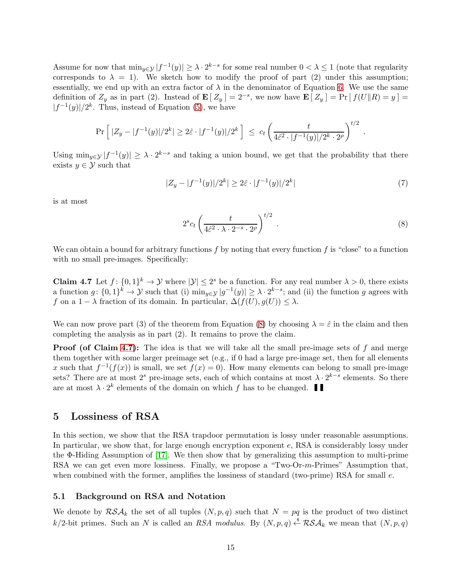<span id="page-14-4"></span>Assume for now that  $\min_{y \in \mathcal{Y}} |f^{-1}(y)| \geq \lambda \cdot 2^{k-s}$  for some real number  $0 < \lambda \leq 1$  (note that regularity corresponds to  $\lambda = 1$ ). We sketch how to modify the proof of part (2) under this assumption; essentially, we end up with an extra factor of  $\lambda$  in the denominator of Equation [6.](#page-13-1) We use the same definition of  $Z_y$  as in part (2). Instead of  $\mathbf{E}[Z_y] = 2^{-s}$ , we now have  $\mathbf{E}[Z_y] = \Pr[f(U||R) = y] =$  $|f^{-1}(y)|/2^k$ . Thus, instead of Equation [\(5\)](#page-13-0), we have

$$
\Pr\left[ |Z_y - |f^{-1}(y)|/2^k| \ge 2\hat{\varepsilon} \cdot |f^{-1}(y)|/2^k \right] \le c_t \left( \frac{t}{4\hat{\varepsilon}^2 \cdot |f^{-1}(y)|/2^k \cdot 2^{\rho}} \right)^{t/2}
$$

Using  $\min_{y \in \mathcal{Y}} |f^{-1}(y)| \geq \lambda \cdot 2^{k-s}$  and taking a union bound, we get that the probability that there exists  $y \in \mathcal{Y}$  such that

$$
|Z_y - |f^{-1}(y)|/2^k| \ge 2\hat{\varepsilon} \cdot |f^{-1}(y)|/2^k| \tag{7}
$$

is at most

$$
2^{s}c_{t}\left(\frac{t}{4\hat{\varepsilon}^{2}\cdot\lambda\cdot2^{-s}\cdot2^{\rho}}\right)^{t/2}.
$$
\n(8)

<span id="page-14-2"></span>.

<span id="page-14-3"></span>We can obtain a bound for arbitrary functions  $f$  by noting that every function  $f$  is "close" to a function with no small pre-images. Specifically:

**Claim 4.7** Let  $f: \{0,1\}^k \to \mathcal{Y}$  where  $|\mathcal{Y}| \leq 2^s$  be a function. For any real number  $\lambda > 0$ , there exists a function  $g: \{0,1\}^k \to \mathcal{Y}$  such that (i)  $\min_{y \in \mathcal{Y}} |g^{-1}(y)| \geq \lambda \cdot 2^{k-s}$ ; and (ii) the function g agrees with f on a  $1 - \lambda$  fraction of its domain. In particular,  $\Delta(f(U), g(U)) \leq \lambda$ .

We can now prove part (3) of the theorem from Equation [\(8\)](#page-14-2) by choosing  $\lambda = \hat{\varepsilon}$  in the claim and then completing the analysis as in part (2). It remains to prove the claim.

**Proof (of Claim [4.7\)](#page-14-3):** The idea is that we will take all the small pre-image sets of  $f$  and merge them together with some larger preimage set (e.g., if 0 had a large pre-image set, then for all elements x such that  $f^{-1}(f(x))$  is small, we set  $f(x) = 0$ . How many elements can belong to small pre-image sets? There are at most  $2^s$  pre-image sets, each of which contains at most  $\lambda \cdot 2^{k-s}$  elements. So there are at most  $\lambda \cdot 2^k$  elements of the domain on which f has to be changed.

### <span id="page-14-0"></span>5 Lossiness of RSA

In this section, we show that the RSA trapdoor permutation is lossy under reasonable assumptions. In particular, we show that, for large enough encryption exponent e, RSA is considerably lossy under the Φ-Hiding Assumption of [\[17\]](#page-21-3). We then show that by generalizing this assumption to multi-prime RSA we can get even more lossiness. Finally, we propose a "Two-Or-m-Primes" Assumption that, when combined with the former, amplifies the lossiness of standard (two-prime) RSA for small e.

#### <span id="page-14-1"></span>5.1 Background on RSA and Notation

We denote by  $RSA_k$  the set of all tuples  $(N, p, q)$  such that  $N = pq$  is the product of two distinct k/2-bit primes. Such an N is called an *RSA modulus*. By  $(N, p, q) \stackrel{\$}{\leftarrow} \mathcal{RSA}_k$  we mean that  $(N, p, q)$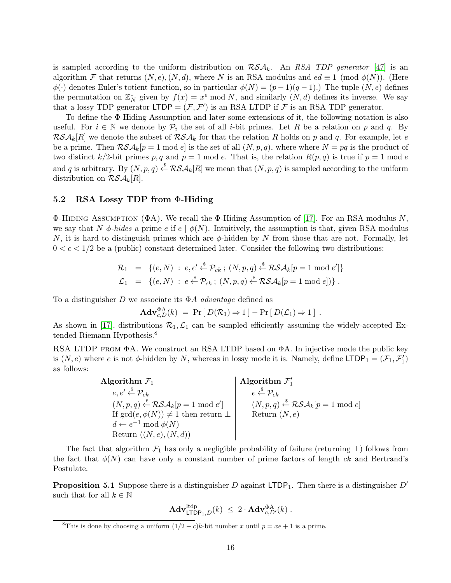<span id="page-15-1"></span>is sampled according to the uniform distribution on  $\mathcal{RSA}_k$ . An *RSA TDP generator* [\[47\]](#page-24-4) is an algorithm F that returns  $(N, e), (N, d)$ , where N is an RSA modulus and  $ed \equiv 1 \pmod{\phi(N)}$ . (Here  $\phi(\cdot)$  denotes Euler's totient function, so in particular  $\phi(N) = (p-1)(q-1)$ .) The tuple  $(N, e)$  defines the permutation on  $\mathbb{Z}_N^*$  given by  $f(x) = x^e \mod N$ , and similarly  $(N, d)$  defines its inverse. We say that a lossy TDP generator  $\text{LTOP} = (\mathcal{F}, \mathcal{F}')$  is an RSA LTDP if  $\mathcal F$  is an RSA TDP generator.

To define the Φ-Hiding Assumption and later some extensions of it, the following notation is also useful. For  $i \in \mathbb{N}$  we denote by  $\mathcal{P}_i$  the set of all *i*-bit primes. Let R be a relation on p and q. By  $RSA_k[R]$  we denote the subset of  $RSA_k$  for that the relation R holds on p and q. For example, let e be a prime. Then  $\mathcal{RSA}_k[p=1 \mod e]$  is the set of all  $(N, p, q)$ , where where  $N = pq$  is the product of two distinct  $k/2$ -bit primes p, q and  $p = 1 \text{ mod } e$ . That is, the relation  $R(p, q)$  is true if  $p = 1 \text{ mod } e$ and q is arbitrary. By  $(N, p, q) \stackrel{\$}{\leftarrow} \mathcal{RSA}_k[R]$  we mean that  $(N, p, q)$  is sampled according to the uniform distribution on  $\mathcal{RSA}_k[R]$ .

#### <span id="page-15-0"></span>5.2 RSA Lossy TDP from Φ-Hiding

 $\Phi$ -Hiding Assumption ( $\Phi$ A). We recall the  $\Phi$ -Hiding Assumption of [\[17\]](#page-21-3). For an RSA modulus N, we say that  $N \phi$ -hides a prime e if  $e \mid \phi(N)$ . Intuitively, the assumption is that, given RSA modulus N, it is hard to distinguish primes which are  $\phi$ -hidden by N from those that are not. Formally, let  $0 < c < 1/2$  be a (public) constant determined later. Consider the following two distributions:

$$
\mathcal{R}_1 = \{ (e, N) : e, e' \stackrel{\$} \leftarrow \mathcal{P}_{ck} ; (N, p, q) \stackrel{\$} \leftarrow \mathcal{RSA}_k[p = 1 \text{ mod } e'] \} \n\mathcal{L}_1 = \{ (e, N) : e \stackrel{\$} \leftarrow \mathcal{P}_{ck} ; (N, p, q) \stackrel{\$} \leftarrow \mathcal{RSA}_k[p = 1 \text{ mod } e]) \} .
$$

To a distinguisher D we associate its ΦA *advantage* defined as

$$
\mathbf{Adv}_{c,D}^{\Phi A}(k) = \Pr[D(\mathcal{R}_1) \Rightarrow 1] - \Pr[D(\mathcal{L}_1) \Rightarrow 1].
$$

As shown in [\[17\]](#page-21-3), distributions  $\mathcal{R}_1,\mathcal{L}_1$  can be sampled efficiently assuming the widely-accepted Extended Riemann Hypothesis.<sup>8</sup>

RSA LTDP FROM  $\Phi$ A. We construct an RSA LTDP based on  $\Phi$ A. In injective mode the public key is  $(N, e)$  where e is not  $\phi$ -hidden by N, whereas in lossy mode it is. Namely, define LTDP<sub>1</sub> =  $(\mathcal{F}_1, \mathcal{F}'_1)$ as follows:

> Algorithm  $\mathcal{F}_1$  $e,e' \overset{\hspace{0.1em}\mathsf{\scriptscriptstyle\$}}{\leftarrow} \mathcal{P}_{ck}$  $(N, p, q) \stackrel{\$}{\leftarrow} \mathcal{RSA}_k[p = 1 \text{ mod } e']$ If  $gcd(e, \phi(N)) \neq 1$  then return  $\perp$  $d \leftarrow e^{-1} \mod \phi(N)$ Return  $((N, e), (N, d))$ Algorithm  $\mathcal{F}_1'$  $e \overset{\hspace{0.1em}\mathsf{\scriptscriptstyle\$}}{\leftarrow} \mathcal{P}_{ck}$  $(N, p, q) \stackrel{\$}{\leftarrow} \mathcal{RSA}_k[p=1 \text{ mod } e]$ Return  $(N, e)$

The fact that algorithm  $\mathcal{F}_1$  has only a negligible probability of failure (returning  $\perp$ ) follows from the fact that  $\phi(N)$  can have only a constant number of prime factors of length ck and Bertrand's Postulate.

**Proposition 5.1** Suppose there is a distinguisher D against LTDP<sub>1</sub>. Then there is a distinguisher  $D'$ such that for all  $k \in \mathbb{N}$ 

$$
\mathbf{Adv}_{\mathsf{LTDP}_1,D}^{\mathrm{ltdp}}(k) \ \leq \ 2 \cdot \mathbf{Adv}_{c,D'}^{\Phi \mathrm{A}}(k) \ .
$$

<sup>&</sup>lt;sup>8</sup>This is done by choosing a uniform  $(1/2 - c)k$ -bit number x until  $p = xe + 1$  is a prime.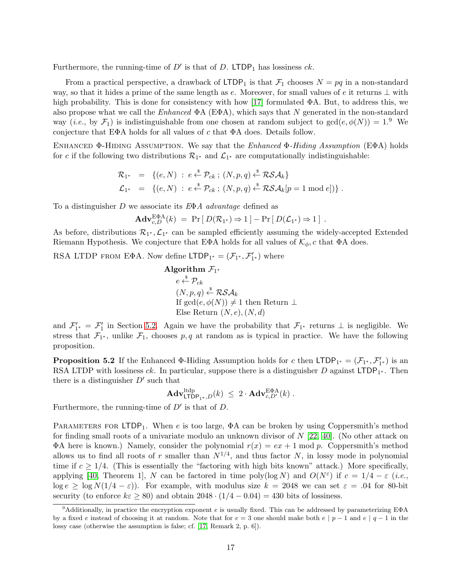<span id="page-16-0"></span>Furthermore, the running-time of  $D'$  is that of D. LTDP<sub>1</sub> has lossiness  $ck$ .

From a practical perspective, a drawback of LTDP<sub>1</sub> is that  $\mathcal{F}_1$  chooses  $N = pq$  in a non-standard way, so that it hides a prime of the same length as e. Moreover, for small values of e it returns  $\perp$  with high probability. This is done for consistency with how [\[17\]](#page-21-3) formulated  $\Phi$ A. But, to address this, we also propose what we call the *Enhanced* ΦA (EΦA), which says that N generated in the non-standard way (*i.e.*, by  $\mathcal{F}_1$ ) is indistinguishable from one chosen at random subject to  $gcd(e, \phi(N)) = 1$ .<sup>9</sup> We conjecture that  $E\Phi A$  holds for all values of c that  $\Phi A$  does. Details follow.

Enhanced Φ-Hiding Assumption. We say that the *Enhanced* Φ*-Hiding Assumption* (EΦA) holds for c if the following two distributions  $\mathcal{R}_{1^*}$  and  $\mathcal{L}_{1^*}$  are computationally indistinguishable:

$$
\mathcal{R}_{1^*} = \{ (e, N) : e \stackrel{\$} \leftarrow \mathcal{P}_{ck} ; (N, p, q) \stackrel{\$} \leftarrow \mathcal{RSA}_k \}
$$
  

$$
\mathcal{L}_{1^*} = \{ (e, N) : e \stackrel{\$} \leftarrow \mathcal{P}_{ck} ; (N, p, q) \stackrel{\$} \leftarrow \mathcal{RSA}_k [p = 1 \text{ mod } e]) \} .
$$

To a distinguisher D we associate its *E*Φ*A advantage* defined as

$$
\mathbf{Adv}_{c,D}^{\mathrm{E}\Phi\mathrm{A}}(k) = \Pr[D(\mathcal{R}_{1^*}) \Rightarrow 1] - \Pr[D(\mathcal{L}_{1^*}) \Rightarrow 1].
$$

As before, distributions  $\mathcal{R}_{1^*}, \mathcal{L}_{1^*}$  can be sampled efficiently assuming the widely-accepted Extended Riemann Hypothesis. We conjecture that EΦA holds for all values of  $\mathcal{K}_{\phi}$ , c that ΦA does.

RSA LTDP FROM EΦA. Now define  $LTDP_{1^*} = (\mathcal{F}_{1^*}, \mathcal{F}'_{1^*})$  where

**Algorithm** 
$$
\mathcal{F}_{1*}
$$
  
\n $e \stackrel{\$}{\leftarrow} \mathcal{P}_{ck}$   
\n $(N, p, q) \stackrel{\$}{\leftarrow} \mathcal{RSA}_k$   
\nIf  $gcd(e, \phi(N)) \neq 1$  then Return  $\perp$   
\nElse Return  $(N, e), (N, d)$ 

and  $\mathcal{F}'_{1*} = \mathcal{F}'_1$  in Section [5.2.](#page-15-0) Again we have the probability that  $\mathcal{F}_{1*}$  returns  $\perp$  is negligible. We stress that  $\mathcal{F}_{1^*}$ , unlike  $\mathcal{F}_1$ , chooses p, q at random as is typical in practice. We have the following proposition.

**Proposition 5.2** If the Enhanced  $\Phi$ -Hiding Assumption holds for c then  $\text{LTOP}_{1^*} = (\mathcal{F}_{1^*}, \mathcal{F}'_{1^*})$  is an RSA LTDP with lossiness ck. In particular, suppose there is a distinguisher D against LTDP<sub>1</sub>\*. Then there is a distinguisher  $D'$  such that

 $\mathbf{Adv}_{\mathsf{LTDP}_{1^*},D}^{\mathrm{ltdp}}(k) \ \leq \ 2 \cdot \mathbf{Adv}_{c,D'}^{\mathrm{E}\Phi\mathrm{A}}(k) \ .$ 

Furthermore, the running-time of  $D'$  is that of  $D$ .

PARAMETERS FOR LTDP<sub>1</sub>. When e is too large,  $\Phi$ A can be broken by using Coppersmith's method for finding small roots of a univariate modulo an unknown divisor of  $N$  [\[22,](#page-22-10) [40\]](#page-23-8). (No other attack on **ΦA** here is known.) Namely, consider the polynomial  $r(x) = e^x + 1$  mod p. Coppersmith's method allows us to find all roots of r smaller than  $N^{1/4}$ , and thus factor N, in lossy mode in polynomial time if  $c \geq 1/4$ . (This is essentially the "factoring with high bits known" attack.) More specifically, applying [\[40,](#page-23-8) Theorem 1], N can be factored in time  $\text{poly}(\log N)$  and  $O(N^{\varepsilon})$  if  $c = 1/4 - \varepsilon$  (*i.e.*,  $\log e \ge \log N(1/4 - \varepsilon)$ . For example, with modulus size  $k = 2048$  we can set  $\varepsilon = .04$  for 80-bit security (to enforce  $k\epsilon \ge 80$ ) and obtain  $2048 \cdot (1/4 - 0.04) = 430$  bits of lossiness.

 $9$ Additionally, in practice the encryption exponent e is usually fixed. This can be addressed by parameterizing EΦA by a fixed e instead of choosing it at random. Note that for  $e = 3$  one should make both  $e | p - 1$  and  $e | q - 1$  in the lossy case (otherwise the assumption is false; cf. [\[17,](#page-21-3) Remark 2, p. 6]).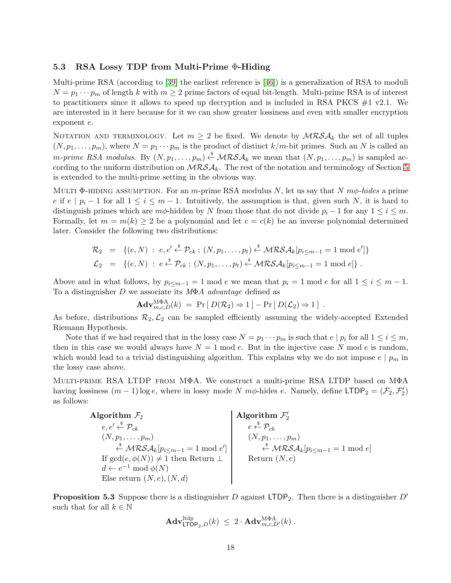#### <span id="page-17-2"></span><span id="page-17-0"></span>5.3 RSA Lossy TDP from Multi-Prime Φ-Hiding

Multi-prime RSA (according to [\[39\]](#page-23-9) the earliest reference is [\[46\]](#page-24-5)) is a generalization of RSA to moduli  $N = p_1 \cdots p_m$  of length k with  $m \ge 2$  prime factors of equal bit-length. Multi-prime RSA is of interest to practitioners since it allows to speed up decryption and is included in RSA PKCS  $#1$  v2.1. We are interested in it here because for it we can show greater lossiness and even with smaller encryption exponent e.

NOTATION AND TERMINOLOGY. Let  $m \geq 2$  be fixed. We denote by  $MRSA_k$  the set of all tuples  $(N, p_1, \ldots, p_m)$ , where  $N = p_1 \cdots p_m$  is the product of distinct  $k/m$ -bit primes. Such an N is called an *m*-prime RSA modulus. By  $(N, p_1, \ldots, p_m) \stackrel{\$}{\leftarrow} \mathcal{MRSA}_k$  we mean that  $(N, p_1, \ldots, p_m)$  is sampled according to the uniform distribution on  $MRSA_k$ . The rest of the notation and terminology of Section [5](#page-14-0) is extended to the multi-prime setting in the obvious way.

Multi Φ-hiding assumption. For an m-prime RSA modulus N, let us say that N mφ*-hides* a prime e if  $e \mid p_i - 1$  for all  $1 \leq i \leq m - 1$ . Intuitively, the assumption is that, given such N, it is hard to distinguish primes which are  $m\phi$ -hidden by N from those that do not divide  $p_i - 1$  for any  $1 \le i \le m$ . Formally, let  $m = m(k) > 2$  be a polynomial and let  $c = c(k)$  be an inverse polynomial determined later. Consider the following two distributions:

$$
\mathcal{R}_2 = \{ (e, N) : e, e' \stackrel{\$}{\leftarrow} \mathcal{P}_{ck} ; (N, p_1, \dots, p_t) \stackrel{\$}{\leftarrow} \mathcal{MRSA}_k[p_{i \leq m-1} = 1 \text{ mod } e'] \} \n\mathcal{L}_2 = \{ (e, N) : e \stackrel{\$}{\leftarrow} \mathcal{P}_{ck} ; (N, p_1, \dots, p_t) \stackrel{\$}{\leftarrow} \mathcal{MRSA}_k[p_{i \leq m-1} = 1 \text{ mod } e] \} .
$$

Above and in what follows, by  $p_i \leq m-1$  mod e we mean that  $p_i = 1 \mod e$  for all  $1 \leq i \leq m-1$ . To a distinguisher D we associate its *M*Φ*A advantage* defined as

$$
\mathbf{Adv}_{m,c,D}^{\text{M}\Phi\text{A}}(k) = \Pr[D(\mathcal{R}_2) \Rightarrow 1] - \Pr[D(\mathcal{L}_2) \Rightarrow 1].
$$

As before, distributions  $\mathcal{R}_2, \mathcal{L}_2$  can be sampled efficiently assuming the widely-accepted Extended Riemann Hypothesis.

Note that if we had required that in the lossy case  $N = p_1 \cdots p_m$  is such that  $e \mid p_i$  for all  $1 \leq i \leq m$ , then in this case we would always have  $N = 1 \text{ mod } e$ . But in the injective case N mod e is random, which would lead to a trivial distinguishing algorithm. This explains why we do not impose  $e \mid p_m$  in the lossy case above.

Multi-prime RSA LTDP from MΦA. We construct a multi-prime RSA LTDP based on MΦA having lossiness  $(m-1) \log e$ , where in lossy mode N  $m\phi$ -hides e. Namely, define LTDP<sub>2</sub> =  $(\mathcal{F}_2, \mathcal{F}'_2)$ as follows:

> $\rm{Algorithm}$   $\mathcal{F}_2$  $e,e' \overset{\hspace{0.1em}\mathsf{\scriptscriptstyle\$}}{\leftarrow} \mathcal{P}_{ck}$  $(N, p_1, \ldots, p_m)$  $\stackrel{\$}{\leftarrow} \mathcal{MRSA}_k[p_{i \leq m-1} = 1 \text{ mod } e']$ If  $gcd(e, \phi(N)) \neq 1$  then Return ⊥  $d \leftarrow e^{-1} \mod \phi(N)$ Else return  $(N, e), (N, d)$ Algorithm  $\mathcal{F}_2'$  $e \overset{\hspace{0.1em}\mathsf{\scriptscriptstyle\$}}{\leftarrow} \mathcal{P}_{ck}$  $(N, p_1, \ldots, p_m)$  $\stackrel{\$}{\leftarrow} \mathcal{MRSA}_k[p_{i \leq m-1} = 1 \text{ mod } e]$ Return  $(N, e)$

<span id="page-17-1"></span>**Proposition 5.3** Suppose there is a distinguisher D against LTDP<sub>2</sub>. Then there is a distinguisher  $D'$ such that for all  $k \in \mathbb{N}$ 

$$
\mathbf{Adv}_{\mathsf{LTDP}_2,D}^{\mathrm{ltdp}}(k) \ \leq \ 2 \cdot \mathbf{Adv}_{m,c,D'}^{\mathrm{M}\Phi \mathrm{A}}(k) \ .
$$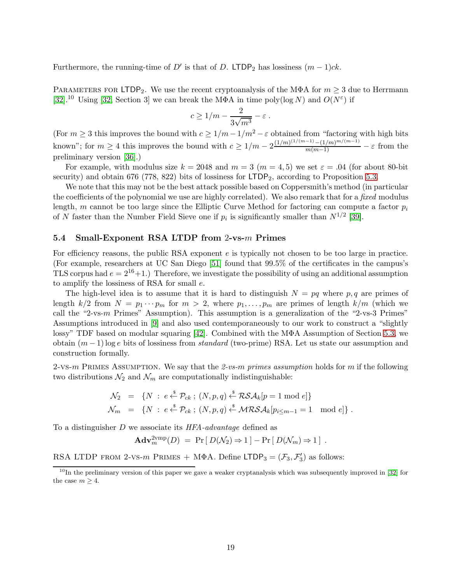<span id="page-18-1"></span>Furthermore, the running-time of  $D'$  is that of D. LTDP<sub>2</sub> has lossiness  $(m-1)ck$ .

PARAMETERS FOR LTDP<sub>2</sub>. We use the recent cryptoanalysis of the MΦA for  $m \geq 3$  due to Herrmann [\[32\]](#page-22-11).<sup>10</sup> Using [\[32,](#page-22-11) Section 3] we can break the MΦA in time poly(log N) and  $O(N^{\epsilon})$  if

$$
c \ge 1/m - \frac{2}{3\sqrt{m^3}} - \varepsilon.
$$

(For  $m \geq 3$  this improves the bound with  $c \geq 1/m - 1/m^2 - \varepsilon$  obtained from "factoring with high bits") known"; for  $m \ge 4$  this improves the bound with  $c \ge 1/m - 2 \frac{(1/m)^{(1/(m-1)} - (1/m)^{m/(m-1)}}{m(m-1)} - \varepsilon$  from the preliminary version [\[36\]](#page-23-10).)

For example, with modulus size  $k = 2048$  and  $m = 3$   $(m = 4, 5)$  we set  $\varepsilon = .04$  (for about 80-bit security) and obtain 676 (778, 822) bits of lossiness for  $LTDP<sub>2</sub>$ , according to Proposition [5.3.](#page-17-1)

We note that this may not be the best attack possible based on Coppersmith's method (in particular the coefficients of the polynomial we use are highly correlated). We also remark that for a *fixed* modulus length, m cannot be too large since the Elliptic Curve Method for factoring can compute a factor  $p_i$ of N faster than the Number Field Sieve one if  $p_i$  is significantly smaller than  $N^{1/2}$  [\[39\]](#page-23-9).

#### <span id="page-18-0"></span>5.4 Small-Exponent RSA LTDP from 2-vs-m Primes

For efficiency reasons, the public RSA exponent e is typically not chosen to be too large in practice. (For example, researchers at UC San Diego [\[51\]](#page-24-6) found that 99.5% of the certificates in the campus's TLS corpus had  $e = 2^{16}+1$ .) Therefore, we investigate the possibility of using an additional assumption to amplify the lossiness of RSA for small e.

The high-level idea is to assume that it is hard to distinguish  $N = pq$  where p, q are primes of length  $k/2$  from  $N = p_1 \cdots p_m$  for  $m > 2$ , where  $p_1, \ldots, p_m$  are primes of length  $k/m$  (which we call the "2-vs-m Primes" Assumption). This assumption is a generalization of the "2-vs-3 Primes" Assumptions introduced in [\[9\]](#page-21-12) and also used contemporaneously to our work to construct a "slightly lossy" TDF based on modular squaring [\[42\]](#page-23-11). Combined with the MΦA Assumption of Section [5.3,](#page-17-0) we obtain (m − 1) log e bits of lossiness from *standard* (two-prime) RSA. Let us state our assumption and construction formally.

2-vs-m Primes Assumption. We say that the *2-vs-*m *primes assumption* holds for m if the following two distributions  $\mathcal{N}_2$  and  $\mathcal{N}_m$  are computationally indistinguishable:

$$
\mathcal{N}_2 = \{ N : e \stackrel{\$}{\leftarrow} \mathcal{P}_{ck} ; (N, p, q) \stackrel{\$}{\leftarrow} \mathcal{RSA}_k[p = 1 \text{ mod } e] \}
$$
  

$$
\mathcal{N}_m = \{ N : e \stackrel{\$}{\leftarrow} \mathcal{P}_{ck} ; (N, p, q) \stackrel{\$}{\leftarrow} \mathcal{MRSA}_k[p_{i \leq m-1} = 1 \mod e] \}.
$$

To a distinguisher D we associate its *HFA-advantage* defined as

$$
\mathbf{Adv}_{m}^{2vmp}(D) = \Pr[D(\mathcal{N}_2) \Rightarrow 1] - \Pr[D(\mathcal{N}_m) \Rightarrow 1].
$$

RSA LTDP FROM 2-VS- $m$  PRIMES + MΦA. Define LTDP<sub>3</sub> =  $(\mathcal{F}_3, \mathcal{F}'_3)$  as follows:

 $10$ In the preliminary version of this paper we gave a weaker cryptanalysis which was subsequently improved in [\[32\]](#page-22-11) for the case  $m > 4$ .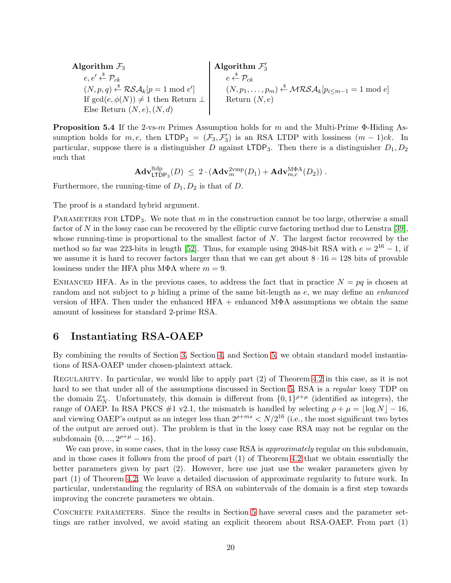<span id="page-19-1"></span>Algorithm  $\mathcal{F}_3$  $e,e' \overset{\hspace{0.1em}\mathsf{\scriptscriptstyle\$}}{\leftarrow} \mathcal{P}_{ck}$  $(N, p, q) \stackrel{\$}{\leftarrow} \mathcal{RSA}_k[p = 1 \text{ mod } e']$ If  $gcd(e, \phi(N)) \neq 1$  then Return  $\perp$ Else Return  $(N, e), (N, d)$ Algorithm  $\mathcal{F}'_3$  $e \overset{\hspace{0.1em}\mathsf{\scriptscriptstyle\$}}{\leftarrow} \mathcal{P}_{ck}$  $(N, p_1, \ldots, p_m) \stackrel{\$}{\leftarrow} \mathcal{MRSA}_k[p_{i \leq m-1} = 1 \text{ mod } e]$ Return  $(N, e)$ 

**Proposition 5.4** If the 2-vs-m Primes Assumption holds for m and the Multi-Prime  $\Phi$ -Hiding Assumption holds for  $m, e$ , then LTDP<sub>3</sub> =  $(\mathcal{F}_3, \mathcal{F}'_3)$  is an RSA LTDP with lossiness  $(m-1)ck$ . In particular, suppose there is a distinguisher D against LTDP<sub>3</sub>. Then there is a distinguisher  $D_1, D_2$ such that

$$
\mathbf{Adv}_{\mathsf{LTDP}_3}^{\mathrm{ltdp}}(D) \ \leq \ 2 \cdot \left(\mathbf{Adv}_{m}^{2vmp}(D_1) + \mathbf{Adv}_{m,c}^{\mathrm{M}\Phi\mathrm{A}}(D_2)\right)\,.
$$

Furthermore, the running-time of  $D_1, D_2$  is that of D.

The proof is a standard hybrid argument.

PARAMETERS FOR LTDP<sub>3</sub>. We note that m in the construction cannot be too large, otherwise a small factor of N in the lossy case can be recovered by the elliptic curve factoring method due to Lenstra [\[39\]](#page-23-9), whose running-time is proportional to the smallest factor of  $N$ . The largest factor recovered by the method so far was 223-bits in length [\[52\]](#page-24-7). Thus, for example using 2048-bit RSA with  $e = 2^{16} - 1$ , if we assume it is hard to recover factors larger than that we can get about  $8 \cdot 16 = 128$  bits of provable lossiness under the HFA plus MΦA where  $m = 9$ .

ENHANCED HFA. As in the previous cases, to address the fact that in practice  $N = pq$  is chosen at random and not subject to p hiding a prime of the same bit-length as e, we may define an *enhanced* version of HFA. Then under the enhanced HFA + enhanced  $M\Phi A$  assumptions we obtain the same amount of lossiness for standard 2-prime RSA.

## <span id="page-19-0"></span>6 Instantiating RSA-OAEP

By combining the results of Section [3,](#page-7-0) Section [4,](#page-10-0) and Section [5,](#page-14-0) we obtain standard model instantiations of RSA-OAEP under chosen-plaintext attack.

Regularity. In particular, we would like to apply part (2) of Theorem [4.2](#page-11-1) in this case, as it is not hard to see that under all of the assumptions discussed in Section [5,](#page-14-0) RSA is a *regular* lossy TDP on the domain  $\mathbb{Z}_N^*$ . Unfortunately, this domain is different from  $\{0,1\}^{\rho+\mu}$  (identified as integers), the range of OAEP. In RSA PKCS #1 v2.1, the mismatch is handled by selecting  $\rho + \mu = |\log N| - 16$ , and viewing OAEP's output as an integer less than  $2^{\rho+ms} < N/2^{16}$  (i.e., the most significant two bytes of the output are zeroed out). The problem is that in the lossy case RSA may not be regular on the subdomain  $\{0, ..., 2^{\rho+\mu} - 16\}.$ 

We can prove, in some cases, that in the lossy case RSA is *approximately* regular on this subdomain, and in those cases it follows from the proof of part (1) of Theorem [4.2](#page-11-1) that we obtain essentially the better parameters given by part (2). However, here use just use the weaker parameters given by part (1) of Theorem [4.2.](#page-11-1) We leave a detailed discussion of approximate regularity to future work. In particular, understanding the regularity of RSA on subintervals of the domain is a first step towards improving the concrete parameters we obtain.

CONCRETE PARAMETERS. Since the results in Section [5](#page-14-0) have several cases and the parameter settings are rather involved, we avoid stating an explicit theorem about RSA-OAEP. From part (1)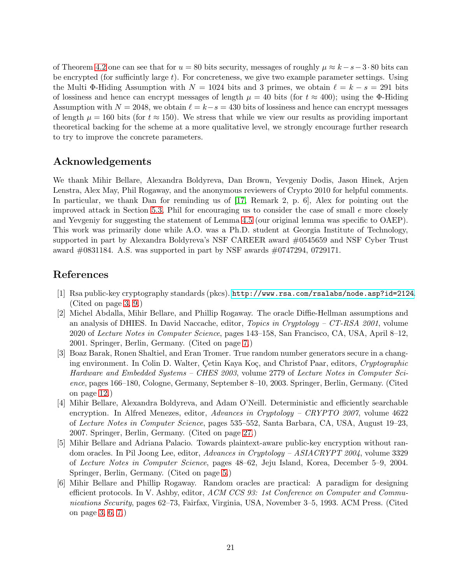<span id="page-20-5"></span>of Theorem [4.2](#page-11-1) one can see that for  $u = 80$  bits security, messages of roughly  $\mu \approx k - s - 3 \cdot 80$  bits can be encrypted (for sufficintly large t). For concreteness, we give two example parameter settings. Using the Multi  $\Phi$ -Hiding Assumption with  $N = 1024$  bits and 3 primes, we obtain  $\ell = k - s = 291$  bits of lossiness and hence can encrypt messages of length  $\mu = 40$  bits (for  $t \approx 400$ ); using the  $\Phi$ -Hiding Assumption with  $N = 2048$ , we obtain  $\ell = k - s = 430$  bits of lossiness and hence can encrypt messages of length  $\mu = 160$  bits (for  $t \approx 150$ ). We stress that while we view our results as providing important theoretical backing for the scheme at a more qualitative level, we strongly encourage further research to try to improve the concrete parameters.

# Acknowledgements

We thank Mihir Bellare, Alexandra Boldyreva, Dan Brown, Yevgeniy Dodis, Jason Hinek, Arjen Lenstra, Alex May, Phil Rogaway, and the anonymous reviewers of Crypto 2010 for helpful comments. In particular, we thank Dan for reminding us of [\[17,](#page-21-3) Remark 2, p. 6], Alex for pointing out the improved attack in Section [5.3,](#page-17-0) Phil for encouraging us to consider the case of small  $e$  more closely and Yevgeniy for suggesting the statement of Lemma [4.5](#page-12-0) (our original lemma was specific to OAEP). This work was primarily done while A.O. was a Ph.D. student at Georgia Institute of Technology, supported in part by Alexandra Boldyreva's NSF CAREER award #0545659 and NSF Cyber Trust award  $\#0831184$ . A.S. was supported in part by NSF awards  $\#0747294$ , 0729171.

# <span id="page-20-0"></span>References

- [1] Rsa public-key cryptography standards (pkcs). <http://www.rsa.com/rsalabs/node.asp?id=2124>. (Cited on page [3,](#page-2-2) [9.](#page-8-0))
- <span id="page-20-3"></span>[2] Michel Abdalla, Mihir Bellare, and Phillip Rogaway. The oracle Diffie-Hellman assumptions and an analysis of DHIES. In David Naccache, editor, *Topics in Cryptology – CT-RSA 2001*, volume 2020 of *Lecture Notes in Computer Science*, pages 143–158, San Francisco, CA, USA, April 8–12, 2001. Springer, Berlin, Germany. (Cited on page [7.](#page-6-1))
- <span id="page-20-4"></span>[3] Boaz Barak, Ronen Shaltiel, and Eran Tromer. True random number generators secure in a changing environment. In Colin D. Walter, Çetin Kaya Koç, and Christof Paar, editors, *Cryptographic Hardware and Embedded Systems – CHES 2003*, volume 2779 of *Lecture Notes in Computer Science*, pages 166–180, Cologne, Germany, September 8–10, 2003. Springer, Berlin, Germany. (Cited on page [12.](#page-11-2))
- <span id="page-20-6"></span>[4] Mihir Bellare, Alexandra Boldyreva, and Adam O'Neill. Deterministic and efficiently searchable encryption. In Alfred Menezes, editor, *Advances in Cryptology – CRYPTO 2007*, volume 4622 of *Lecture Notes in Computer Science*, pages 535–552, Santa Barbara, CA, USA, August 19–23, 2007. Springer, Berlin, Germany. (Cited on page [27.](#page-26-1))
- <span id="page-20-2"></span>[5] Mihir Bellare and Adriana Palacio. Towards plaintext-aware public-key encryption without random oracles. In Pil Joong Lee, editor, *Advances in Cryptology – ASIACRYPT 2004*, volume 3329 of *Lecture Notes in Computer Science*, pages 48–62, Jeju Island, Korea, December 5–9, 2004. Springer, Berlin, Germany. (Cited on page [5.](#page-4-0))
- <span id="page-20-1"></span>[6] Mihir Bellare and Phillip Rogaway. Random oracles are practical: A paradigm for designing efficient protocols. In V. Ashby, editor, *ACM CCS 93: 1st Conference on Computer and Communications Security*, pages 62–73, Fairfax, Virginia, USA, November 3–5, 1993. ACM Press. (Cited on page [3,](#page-2-2) [6,](#page-5-1) [7.](#page-6-1))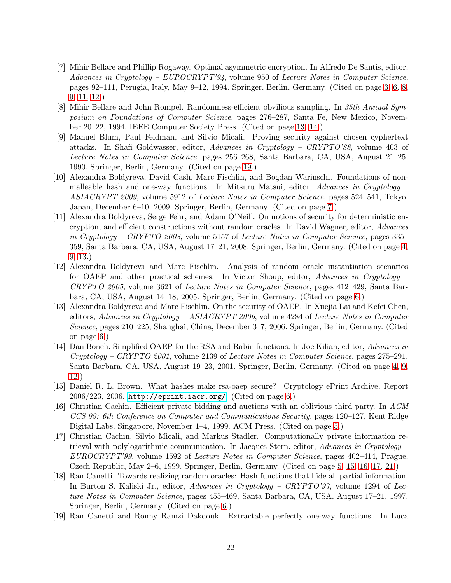- <span id="page-21-0"></span>[7] Mihir Bellare and Phillip Rogaway. Optimal asymmetric encryption. In Alfredo De Santis, editor, *Advances in Cryptology – EUROCRYPT'94*, volume 950 of *Lecture Notes in Computer Science*, pages 92–111, Perugia, Italy, May 9–12, 1994. Springer, Berlin, Germany. (Cited on page [3,](#page-2-2) [6,](#page-5-1) [8,](#page-7-2) [9,](#page-8-0) [11,](#page-10-4) [12.](#page-11-2))
- <span id="page-21-11"></span>[8] Mihir Bellare and John Rompel. Randomness-efficient obvilious sampling. In *35th Annual Symposium on Foundations of Computer Science*, pages 276–287, Santa Fe, New Mexico, November 20–22, 1994. IEEE Computer Society Press. (Cited on page [13,](#page-12-1) [14.](#page-13-2))
- <span id="page-21-12"></span>[9] Manuel Blum, Paul Feldman, and Silvio Micali. Proving security against chosen cyphertext attacks. In Shafi Goldwasser, editor, *Advances in Cryptology – CRYPTO'88*, volume 403 of *Lecture Notes in Computer Science*, pages 256–268, Santa Barbara, CA, USA, August 21–25, 1990. Springer, Berlin, Germany. (Cited on page [19.](#page-18-1))
- <span id="page-21-10"></span>[10] Alexandra Boldyreva, David Cash, Marc Fischlin, and Bogdan Warinschi. Foundations of nonmalleable hash and one-way functions. In Mitsuru Matsui, editor, *Advances in Cryptology – ASIACRYPT 2009*, volume 5912 of *Lecture Notes in Computer Science*, pages 524–541, Tokyo, Japan, December 6–10, 2009. Springer, Berlin, Germany. (Cited on page [7.](#page-6-1))
- <span id="page-21-2"></span>[11] Alexandra Boldyreva, Serge Fehr, and Adam O'Neill. On notions of security for deterministic encryption, and efficient constructions without random oracles. In David Wagner, editor, *Advances in Cryptology – CRYPTO 2008*, volume 5157 of *Lecture Notes in Computer Science*, pages 335– 359, Santa Barbara, CA, USA, August 17–21, 2008. Springer, Berlin, Germany. (Cited on page [4,](#page-3-0) [9,](#page-8-0) [13.](#page-12-1))
- <span id="page-21-6"></span>[12] Alexandra Boldyreva and Marc Fischlin. Analysis of random oracle instantiation scenarios for OAEP and other practical schemes. In Victor Shoup, editor, *Advances in Cryptology – CRYPTO 2005*, volume 3621 of *Lecture Notes in Computer Science*, pages 412–429, Santa Barbara, CA, USA, August 14–18, 2005. Springer, Berlin, Germany. (Cited on page [6.](#page-5-1))
- <span id="page-21-9"></span>[13] Alexandra Boldyreva and Marc Fischlin. On the security of OAEP. In Xuejia Lai and Kefei Chen, editors, *Advances in Cryptology – ASIACRYPT 2006*, volume 4284 of *Lecture Notes in Computer Science*, pages 210–225, Shanghai, China, December 3–7, 2006. Springer, Berlin, Germany. (Cited on page [6.](#page-5-1))
- <span id="page-21-1"></span>[14] Dan Boneh. Simplified OAEP for the RSA and Rabin functions. In Joe Kilian, editor, *Advances in Cryptology – CRYPTO 2001*, volume 2139 of *Lecture Notes in Computer Science*, pages 275–291, Santa Barbara, CA, USA, August 19–23, 2001. Springer, Berlin, Germany. (Cited on page [4,](#page-3-0) [9,](#page-8-0) [12.](#page-11-2))
- <span id="page-21-8"></span><span id="page-21-4"></span>[15] Daniel R. L. Brown. What hashes make rsa-oaep secure? Cryptology ePrint Archive, Report 2006/223, 2006. <http://eprint.iacr.org/>. (Cited on page [6.](#page-5-1))
- [16] Christian Cachin. Efficient private bidding and auctions with an oblivious third party. In *ACM CCS 99: 6th Conference on Computer and Communications Security*, pages 120–127, Kent Ridge Digital Labs, Singapore, November 1–4, 1999. ACM Press. (Cited on page [5.](#page-4-0))
- <span id="page-21-3"></span>[17] Christian Cachin, Silvio Micali, and Markus Stadler. Computationally private information retrieval with polylogarithmic communication. In Jacques Stern, editor, *Advances in Cryptology – EUROCRYPT'99*, volume 1592 of *Lecture Notes in Computer Science*, pages 402–414, Prague, Czech Republic, May 2–6, 1999. Springer, Berlin, Germany. (Cited on page [5,](#page-4-0) [15,](#page-14-4) [16,](#page-15-1) [17,](#page-16-0) [21.](#page-20-5))
- <span id="page-21-7"></span>[18] Ran Canetti. Towards realizing random oracles: Hash functions that hide all partial information. In Burton S. Kaliski Jr., editor, *Advances in Cryptology – CRYPTO'97*, volume 1294 of *Lecture Notes in Computer Science*, pages 455–469, Santa Barbara, CA, USA, August 17–21, 1997. Springer, Berlin, Germany. (Cited on page [6.](#page-5-1))
- <span id="page-21-5"></span>[19] Ran Canetti and Ronny Ramzi Dakdouk. Extractable perfectly one-way functions. In Luca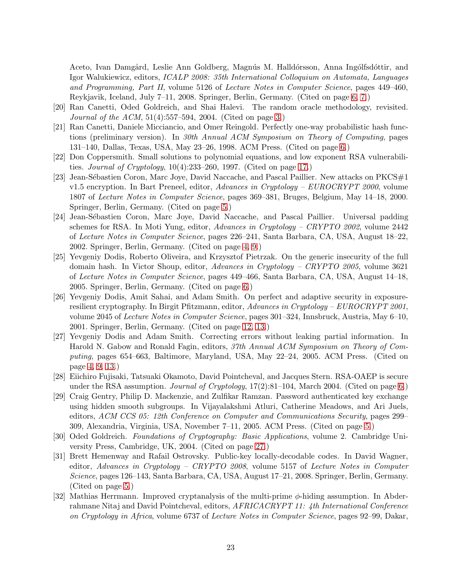Aceto, Ivan Damgård, Leslie Ann Goldberg, Magnús M. Halldórsson, Anna Ingólfsdóttir, and Igor Walukiewicz, editors, *ICALP 2008: 35th International Colloquium on Automata, Languages and Programming, Part II*, volume 5126 of *Lecture Notes in Computer Science*, pages 449–460, Reykjavik, Iceland, July 7–11, 2008. Springer, Berlin, Germany. (Cited on page [6,](#page-5-1) [7.](#page-6-1))

- <span id="page-22-7"></span><span id="page-22-0"></span>[20] Ran Canetti, Oded Goldreich, and Shai Halevi. The random oracle methodology, revisited. *Journal of the ACM*, 51(4):557–594, 2004. (Cited on page [3.](#page-2-2))
- [21] Ran Canetti, Daniele Micciancio, and Omer Reingold. Perfectly one-way probabilistic hash functions (preliminary version). In *30th Annual ACM Symposium on Theory of Computing*, pages 131–140, Dallas, Texas, USA, May 23–26, 1998. ACM Press. (Cited on page [6.](#page-5-1))
- <span id="page-22-10"></span><span id="page-22-5"></span>[22] Don Coppersmith. Small solutions to polynomial equations, and low exponent RSA vulnerabilities. *Journal of Cryptology*, 10(4):233–260, 1997. (Cited on page [17.](#page-16-0))
- [23] Jean-Sébastien Coron, Marc Joye, David Naccache, and Pascal Paillier. New attacks on PKCS#1 v1.5 encryption. In Bart Preneel, editor, *Advances in Cryptology – EUROCRYPT 2000*, volume 1807 of *Lecture Notes in Computer Science*, pages 369–381, Bruges, Belgium, May 14–18, 2000. Springer, Berlin, Germany. (Cited on page [5.](#page-4-0))
- <span id="page-22-1"></span>[24] Jean-Sébastien Coron, Marc Joye, David Naccache, and Pascal Paillier. Universal padding schemes for RSA. In Moti Yung, editor, *Advances in Cryptology – CRYPTO 2002*, volume 2442 of *Lecture Notes in Computer Science*, pages 226–241, Santa Barbara, CA, USA, August 18–22, 2002. Springer, Berlin, Germany. (Cited on page [4,](#page-3-0) [9.](#page-8-0))
- <span id="page-22-8"></span>[25] Yevgeniy Dodis, Roberto Oliveira, and Krzysztof Pietrzak. On the generic insecurity of the full domain hash. In Victor Shoup, editor, *Advances in Cryptology – CRYPTO 2005*, volume 3621 of *Lecture Notes in Computer Science*, pages 449–466, Santa Barbara, CA, USA, August 14–18, 2005. Springer, Berlin, Germany. (Cited on page [6.](#page-5-1))
- <span id="page-22-9"></span>[26] Yevgeniy Dodis, Amit Sahai, and Adam Smith. On perfect and adaptive security in exposureresilient cryptography. In Birgit Pfitzmann, editor, *Advances in Cryptology – EUROCRYPT 2001*, volume 2045 of *Lecture Notes in Computer Science*, pages 301–324, Innsbruck, Austria, May 6–10, 2001. Springer, Berlin, Germany. (Cited on page [12,](#page-11-2) [13.](#page-12-1))
- <span id="page-22-2"></span>[27] Yevgeniy Dodis and Adam Smith. Correcting errors without leaking partial information. In Harold N. Gabow and Ronald Fagin, editors, *37th Annual ACM Symposium on Theory of Computing*, pages 654–663, Baltimore, Maryland, USA, May 22–24, 2005. ACM Press. (Cited on page [4,](#page-3-0) [9,](#page-8-0) [13.](#page-12-1))
- <span id="page-22-6"></span><span id="page-22-3"></span>[28] Eiichiro Fujisaki, Tatsuaki Okamoto, David Pointcheval, and Jacques Stern. RSA-OAEP is secure under the RSA assumption. *Journal of Cryptology*, 17(2):81–104, March 2004. (Cited on page [6.](#page-5-1))
- [29] Craig Gentry, Philip D. Mackenzie, and Zulfikar Ramzan. Password authenticated key exchange using hidden smooth subgroups. In Vijayalakshmi Atluri, Catherine Meadows, and Ari Juels, editors, *ACM CCS 05: 12th Conference on Computer and Communications Security*, pages 299– 309, Alexandria, Virginia, USA, November 7–11, 2005. ACM Press. (Cited on page [5.](#page-4-0))
- <span id="page-22-12"></span>[30] Oded Goldreich. *Foundations of Cryptography: Basic Applications*, volume 2. Cambridge University Press, Cambridge, UK, 2004. (Cited on page [27.](#page-26-1))
- <span id="page-22-4"></span>[31] Brett Hemenway and Rafail Ostrovsky. Public-key locally-decodable codes. In David Wagner, editor, *Advances in Cryptology – CRYPTO 2008*, volume 5157 of *Lecture Notes in Computer Science*, pages 126–143, Santa Barbara, CA, USA, August 17–21, 2008. Springer, Berlin, Germany. (Cited on page [5.](#page-4-0))
- <span id="page-22-11"></span>[32] Mathias Herrmann. Improved cryptanalysis of the multi-prime  $\phi$ -hiding assumption. In Abderrahmane Nitaj and David Pointcheval, editors, *AFRICACRYPT 11: 4th International Conference on Cryptology in Africa*, volume 6737 of *Lecture Notes in Computer Science*, pages 92–99, Dakar,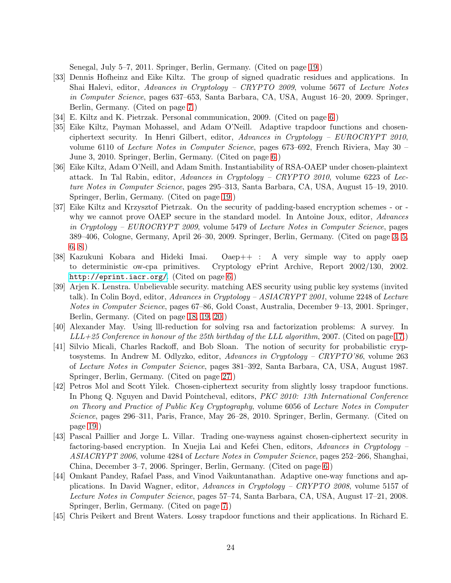Senegal, July 5–7, 2011. Springer, Berlin, Germany. (Cited on page [19.](#page-18-1))

- <span id="page-23-7"></span>[33] Dennis Hofheinz and Eike Kiltz. The group of signed quadratic residues and applications. In Shai Halevi, editor, *Advances in Cryptology – CRYPTO 2009*, volume 5677 of *Lecture Notes in Computer Science*, pages 637–653, Santa Barbara, CA, USA, August 16–20, 2009. Springer, Berlin, Germany. (Cited on page [7.](#page-6-1))
- <span id="page-23-4"></span><span id="page-23-2"></span>[34] E. Kiltz and K. Pietrzak. Personal communication, 2009. (Cited on page [6.](#page-5-1))
- [35] Eike Kiltz, Payman Mohassel, and Adam O'Neill. Adaptive trapdoor functions and chosenciphertext security. In Henri Gilbert, editor, *Advances in Cryptology – EUROCRYPT 2010*, volume 6110 of *Lecture Notes in Computer Science*, pages 673–692, French Riviera, May 30 – June 3, 2010. Springer, Berlin, Germany. (Cited on page [6.](#page-5-1))
- <span id="page-23-10"></span>[36] Eike Kiltz, Adam O'Neill, and Adam Smith. Instantiability of RSA-OAEP under chosen-plaintext attack. In Tal Rabin, editor, *Advances in Cryptology – CRYPTO 2010*, volume 6223 of *Lecture Notes in Computer Science*, pages 295–313, Santa Barbara, CA, USA, August 15–19, 2010. Springer, Berlin, Germany. (Cited on page [19.](#page-18-1))
- <span id="page-23-1"></span>[37] Eike Kiltz and Krzysztof Pietrzak. On the security of padding-based encryption schemes - or why we cannot prove OAEP secure in the standard model. In Antoine Joux, editor, *Advances in Cryptology – EUROCRYPT 2009*, volume 5479 of *Lecture Notes in Computer Science*, pages 389–406, Cologne, Germany, April 26–30, 2009. Springer, Berlin, Germany. (Cited on page [3,](#page-2-2) [5,](#page-4-0) [6,](#page-5-1) [8.](#page-7-2))
- <span id="page-23-5"></span>[38] Kazukuni Kobara and Hideki Imai. Oaep++ : A very simple way to apply oaep to deterministic ow-cpa primitives. Cryptology ePrint Archive, Report 2002/130, 2002. <http://eprint.iacr.org/>. (Cited on page [6.](#page-5-1))
- <span id="page-23-9"></span>[39] Arjen K. Lenstra. Unbelievable security. matching AES security using public key systems (invited talk). In Colin Boyd, editor, *Advances in Cryptology – ASIACRYPT 2001*, volume 2248 of *Lecture Notes in Computer Science*, pages 67–86, Gold Coast, Australia, December 9–13, 2001. Springer, Berlin, Germany. (Cited on page [18,](#page-17-2) [19,](#page-18-1) [20.](#page-19-1))
- <span id="page-23-12"></span><span id="page-23-8"></span>[40] Alexander May. Using lll-reduction for solving rsa and factorization problems: A survey. In *LLL+25 Conference in honour of the 25th birthday of the LLL algorithm*, 2007. (Cited on page [17.](#page-16-0))
- [41] Silvio Micali, Charles Rackoff, and Bob Sloan. The notion of security for probabilistic cryptosystems. In Andrew M. Odlyzko, editor, *Advances in Cryptology – CRYPTO'86*, volume 263 of *Lecture Notes in Computer Science*, pages 381–392, Santa Barbara, CA, USA, August 1987. Springer, Berlin, Germany. (Cited on page [27.](#page-26-1))
- <span id="page-23-11"></span>[42] Petros Mol and Scott Yilek. Chosen-ciphertext security from slightly lossy trapdoor functions. In Phong Q. Nguyen and David Pointcheval, editors, *PKC 2010: 13th International Conference on Theory and Practice of Public Key Cryptography*, volume 6056 of *Lecture Notes in Computer Science*, pages 296–311, Paris, France, May 26–28, 2010. Springer, Berlin, Germany. (Cited on page [19.](#page-18-1))
- <span id="page-23-3"></span>[43] Pascal Paillier and Jorge L. Villar. Trading one-wayness against chosen-ciphertext security in factoring-based encryption. In Xuejia Lai and Kefei Chen, editors, *Advances in Cryptology – ASIACRYPT 2006*, volume 4284 of *Lecture Notes in Computer Science*, pages 252–266, Shanghai, China, December 3–7, 2006. Springer, Berlin, Germany. (Cited on page [6.](#page-5-1))
- <span id="page-23-6"></span>[44] Omkant Pandey, Rafael Pass, and Vinod Vaikuntanathan. Adaptive one-way functions and applications. In David Wagner, editor, *Advances in Cryptology – CRYPTO 2008*, volume 5157 of *Lecture Notes in Computer Science*, pages 57–74, Santa Barbara, CA, USA, August 17–21, 2008. Springer, Berlin, Germany. (Cited on page [7.](#page-6-1))
- <span id="page-23-0"></span>[45] Chris Peikert and Brent Waters. Lossy trapdoor functions and their applications. In Richard E.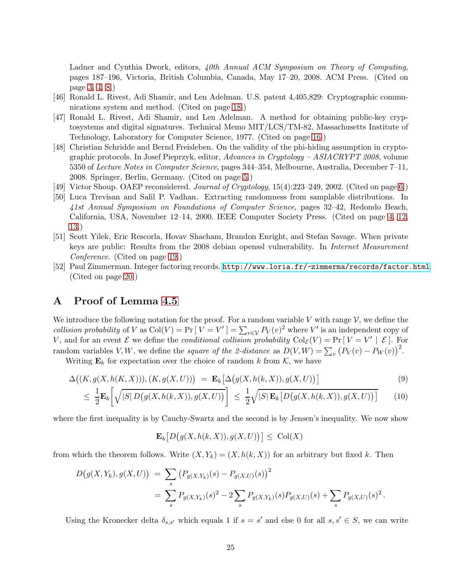Ladner and Cynthia Dwork, editors, *40th Annual ACM Symposium on Theory of Computing*, pages 187–196, Victoria, British Columbia, Canada, May 17–20, 2008. ACM Press. (Cited on page [3,](#page-2-2) [4,](#page-3-0) [8.](#page-7-2))

- <span id="page-24-5"></span><span id="page-24-4"></span>[46] Ronald L. Rivest, Adi Shamir, and Len Adelman. U.S. patent 4,405,829: Cryptographic communications system and method. (Cited on page [18.](#page-17-2))
- [47] Ronald L. Rivest, Adi Shamir, and Len Adelman. A method for obtaining public-key cryptosystems and digital signatures. Technical Memo MIT/LCS/TM-82, Massachusetts Institute of Technology, Laboratory for Computer Science, 1977. (Cited on page [16.](#page-15-1))
- <span id="page-24-2"></span>[48] Christian Schridde and Bernd Freisleben. On the validity of the phi-hiding assumption in cryptographic protocols. In Josef Pieprzyk, editor, *Advances in Cryptology – ASIACRYPT 2008*, volume 5350 of *Lecture Notes in Computer Science*, pages 344–354, Melbourne, Australia, December 7–11, 2008. Springer, Berlin, Germany. (Cited on page [5.](#page-4-0))
- <span id="page-24-3"></span><span id="page-24-1"></span>[49] Victor Shoup. OAEP reconsidered. *Journal of Cryptology*, 15(4):223–249, 2002. (Cited on page [6.](#page-5-1))
- [50] Luca Trevisan and Salil P. Vadhan. Extracting randomness from samplable distributions. In *41st Annual Symposium on Foundations of Computer Science*, pages 32–42, Redondo Beach, California, USA, November 12–14, 2000. IEEE Computer Society Press. (Cited on page [4,](#page-3-0) [12,](#page-11-2) [13.](#page-12-1))
- <span id="page-24-6"></span>[51] Scott Yilek, Eric Rescorla, Hovav Shacham, Brandon Enright, and Stefan Savage. When private keys are public: Results from the 2008 debian openssl vulnerability. In *Internet Measurement Conference*. (Cited on page [19.](#page-18-1))
- <span id="page-24-7"></span>[52] Paul Zimmerman. Integer factoring records. <http://www.loria.fr/~zimmerma/records/factor.html>. (Cited on page [20.](#page-19-1))

# <span id="page-24-0"></span>A Proof of Lemma [4.5](#page-12-0)

We introduce the following notation for the proof. For a random variable V with range  $\mathcal{V}$ , we define the *collision probability* of V as  $Col(V) = Pr[V = V'] = \sum_{v \in V} P_V(v)^2$  where V' is an independent copy of V, and for an event  $\mathcal E$  we define the *conditional collision probability*  $\text{Col}_{\mathcal E}(V) = \Pr[V = V' | \mathcal E]$ . For random variables V, W, we define the *square of the 2-distance* as  $D(V, W) = \sum_{v} (P_V(v) - P_W(v))^2$ .

Writing  $\mathbf{E}_k$  for expectation over the choice of random k from  $\mathcal{K}$ , we have

$$
\Delta\big((K, g(X, h(K, X))), (K, g(X, U))\big) = \mathbf{E}_k\big[\Delta\big(g(X, h(k, X)), g(X, U)\big)\big]
$$
\n(9)

$$
\leq \frac{1}{2} \mathbf{E}_k \bigg[ \sqrt{|S| \, D \big(g(X, h(k, X)), g(X, U)\big)} \bigg] \leq \frac{1}{2} \sqrt{|S| \, \mathbf{E}_k \big[ D \big(g(X, h(k, X)), g(X, U)\big)\big]} \tag{10}
$$

where the first inequality is by Cauchy-Swartz and the second is by Jensen's inequality. We now show

<span id="page-24-8"></span>
$$
\mathbf{E}_k\big[D\big(g(X,h(k,X)),g(X,U)\big)\big]\leq\,\mathrm{Col}(X)
$$

from which the theorem follows. Write  $(X, Y_k) = (X, h(k, X))$  for an arbitrary but fixed k. Then

$$
D(g(X, Y_k), g(X, U)) = \sum_{s} (P_{g(X, Y_k)}(s) - P_{g(X, U)}(s))^2
$$
  
= 
$$
\sum_{s} P_{g(X, Y_k)}(s)^2 - 2 \sum_{s} P_{g(X, Y_k)}(s) P_{g(X, U)}(s) + \sum_{s} P_{g(X, U)}(s)^2.
$$

Using the Kronecker delta  $\delta_{s,s'}$  which equals 1 if  $s = s'$  and else 0 for all  $s, s' \in S$ , we can write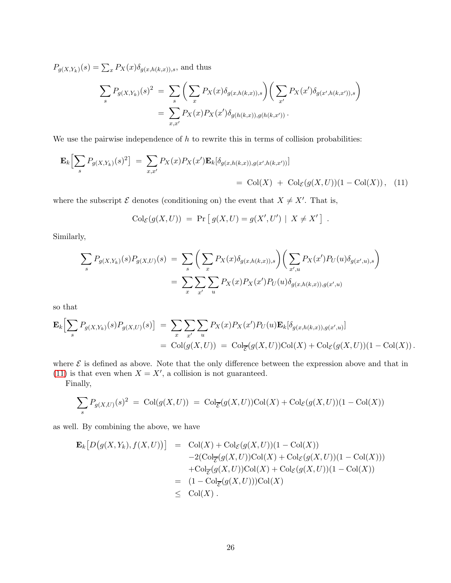$P_{g(X,Y_k)}(s) = \sum_x P_X(x) \delta_{g(x,h(k,x)),s}$ , and thus

$$
\sum_{s} P_{g(X,Y_k)}(s)^2 = \sum_{s} \left( \sum_{x} P_X(x) \delta_{g(x,h(k,x)),s} \right) \left( \sum_{x'} P_X(x') \delta_{g(x',h(k,x')),s} \right)
$$
  
= 
$$
\sum_{x,x'} P_X(x) P_X(x') \delta_{g(h(k,x)),g(h(k,x'))}.
$$

We use the pairwise independence of  $h$  to rewrite this in terms of collision probabilities:

$$
\mathbf{E}_{k} \Big[ \sum_{s} P_{g(X,Y_{k})}(s)^{2} \Big] = \sum_{x,x'} P_{X}(x) P_{X}(x') \mathbf{E}_{k} [\delta_{g(x,h(k,x)),g(x',h(k,x'))}]
$$
  

$$
= \text{Col}(X) + \text{Col}_{\mathcal{E}}(g(X,U))(1 - \text{Col}(X)), \quad (11)
$$

where the subscript  $\mathcal E$  denotes (conditioning on) the event that  $X \neq X'$ . That is,

<span id="page-25-0"></span>
$$
Col_{\mathcal{E}}(g(X, U)) = Pr [g(X, U) = g(X', U') | X \neq X'] .
$$

Similarly,

$$
\sum_{s} P_{g(X,Y_k)}(s) P_{g(X,U)}(s) = \sum_{s} \left( \sum_{x} P_X(x) \delta_{g(x,h(k,x)),s} \right) \left( \sum_{x',u} P_X(x') P_U(u) \delta_{g(x',u),s} \right)
$$

$$
= \sum_{x} \sum_{x'} \sum_{u} P_X(x) P_X(x') P_U(u) \delta_{g(x,h(k,x)),g(x',u)}
$$

so that

$$
\mathbf{E}_{k} \Big[ \sum_{s} P_{g(X,Y_{k})}(s) P_{g(X,U)}(s) \Big] = \sum_{x} \sum_{x'} \sum_{u} P_{X}(x) P_{X}(x') P_{U}(u) \mathbf{E}_{k} [\delta_{g(x,h(k,x)),g(x',u)}]
$$
  
= Col(g(X,U)) = Col\_{\overline{\mathcal{E}}}(g(X,U)) Col(X) + Col\_{\mathcal{E}}(g(X,U))(1 - Col(X)).

where  $\mathcal E$  is defined as above. Note that the only difference between the expression above and that in [\(11\)](#page-25-0) is that even when  $X = X'$ , a collision is not guaranteed.

Finally,

$$
\sum_{s} P_{g(X,U)}(s)^2 = \text{Col}(g(X,U)) = \text{Col}_{\overline{\mathcal{E}}}(g(X,U))\text{Col}(X) + \text{Col}_{\mathcal{E}}(g(X,U))(1 - \text{Col}(X))
$$

as well. By combining the above, we have

$$
\mathbf{E}_k[D(g(X, Y_k), f(X, U))] = \text{Col}(X) + \text{Col}_{\mathcal{E}}(g(X, U))(1 - \text{Col}(X))
$$
  
\n
$$
-2(\text{Col}_{\overline{\mathcal{E}}}(g(X, U))\text{Col}(X) + \text{Col}_{\mathcal{E}}(g(X, U))(1 - \text{Col}(X)))
$$
  
\n
$$
+ \text{Col}_{\overline{\mathcal{E}}}(g(X, U))\text{Col}(X) + \text{Col}_{\mathcal{E}}(g(X, U))(1 - \text{Col}(X))
$$
  
\n
$$
= (1 - \text{Col}_{\overline{\mathcal{E}}}(g(X, U)))\text{Col}(X)
$$
  
\n
$$
\leq \text{Col}(X).
$$